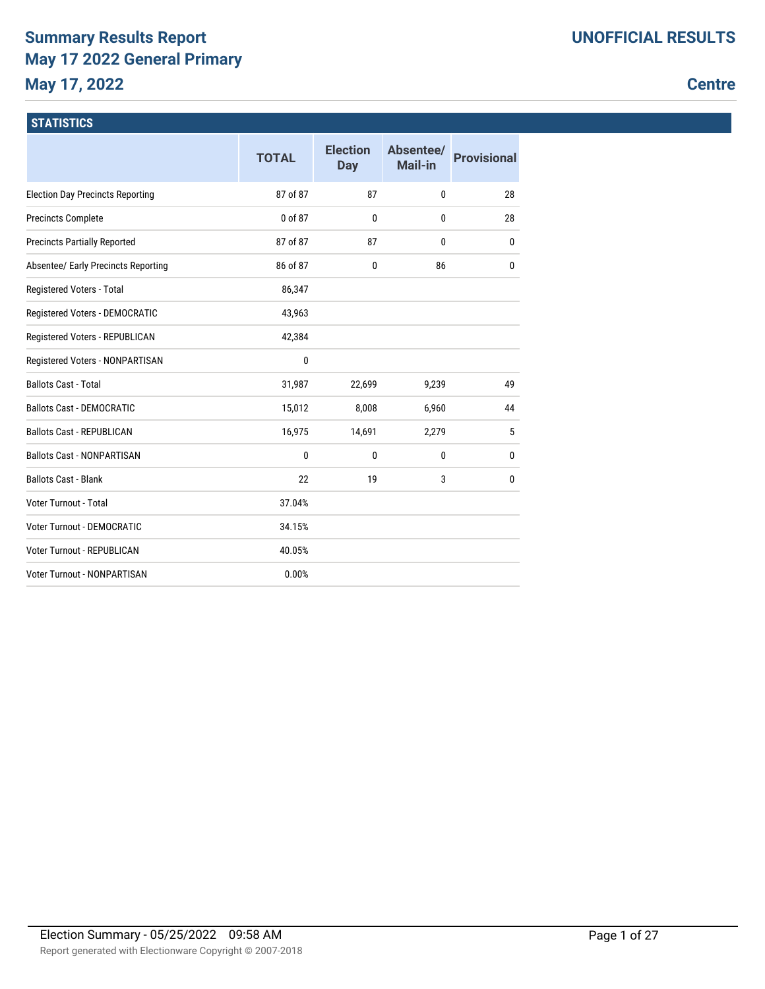## **Summary Results Report May 17 2022 General Primary May 17, 2022**

## **Centre**

## **STATISTICS**

|                                         | <b>TOTAL</b> | <b>Election</b><br><b>Day</b> | Absentee/<br>Mail-in | <b>Provisional</b> |
|-----------------------------------------|--------------|-------------------------------|----------------------|--------------------|
| <b>Election Day Precincts Reporting</b> | 87 of 87     | 87                            | 0                    | 28                 |
| <b>Precincts Complete</b>               | 0 of 87      | $\mathbf{0}$                  | 0                    | 28                 |
| <b>Precincts Partially Reported</b>     | 87 of 87     | 87                            | 0                    | 0                  |
| Absentee/ Early Precincts Reporting     | 86 of 87     | 0                             | 86                   | 0                  |
| Registered Voters - Total               | 86,347       |                               |                      |                    |
| Registered Voters - DEMOCRATIC          | 43,963       |                               |                      |                    |
| Registered Voters - REPUBLICAN          | 42,384       |                               |                      |                    |
| Registered Voters - NONPARTISAN         | 0            |                               |                      |                    |
| <b>Ballots Cast - Total</b>             | 31,987       | 22,699                        | 9,239                | 49                 |
| <b>Ballots Cast - DEMOCRATIC</b>        | 15,012       | 8,008                         | 6,960                | 44                 |
| <b>Ballots Cast - REPUBLICAN</b>        | 16,975       | 14,691                        | 2,279                | 5                  |
| <b>Ballots Cast - NONPARTISAN</b>       | 0            | $\mathbf{0}$                  | 0                    | 0                  |
| <b>Ballots Cast - Blank</b>             | 22           | 19                            | 3                    | 0                  |
| Voter Turnout - Total                   | 37.04%       |                               |                      |                    |
| <b>Voter Turnout - DEMOCRATIC</b>       | 34.15%       |                               |                      |                    |
| Voter Turnout - REPUBLICAN              | 40.05%       |                               |                      |                    |
| Voter Turnout - NONPARTISAN             | 0.00%        |                               |                      |                    |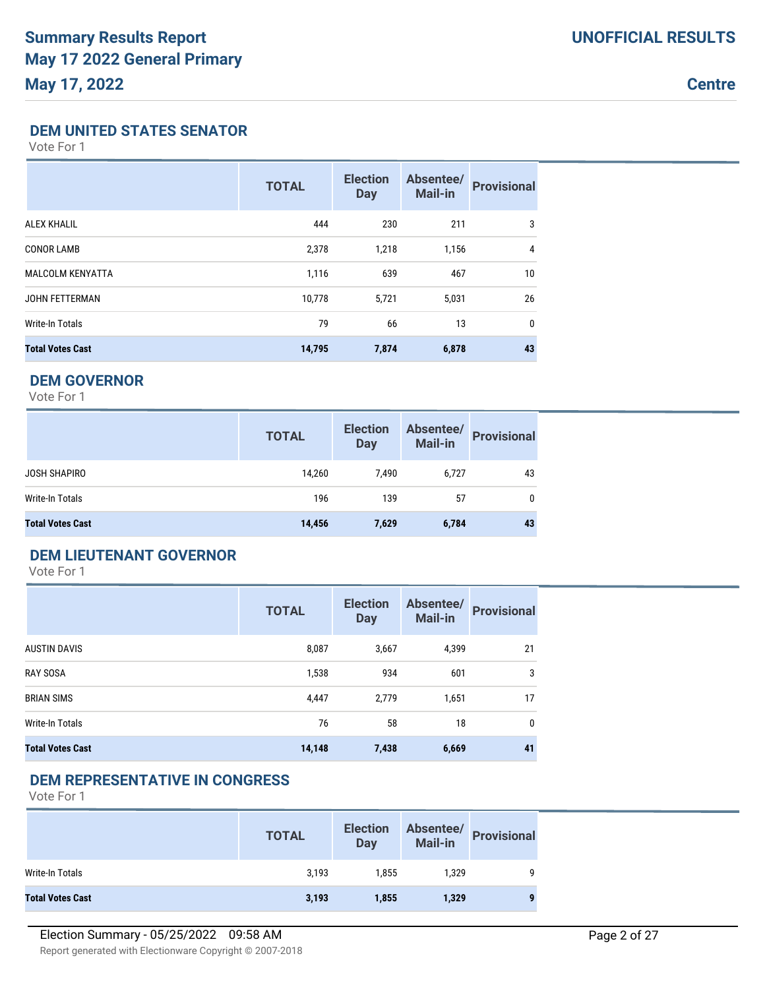**Centre**

### **DEM UNITED STATES SENATOR**

Vote For 1

|                         | <b>TOTAL</b> | <b>Election</b><br><b>Day</b> | Absentee/<br>Mail-in | <b>Provisional</b> |
|-------------------------|--------------|-------------------------------|----------------------|--------------------|
| <b>ALEX KHALIL</b>      | 444          | 230                           | 211                  | 3                  |
| <b>CONOR LAMB</b>       | 2,378        | 1,218                         | 1,156                | 4                  |
| <b>MALCOLM KENYATTA</b> | 1,116        | 639                           | 467                  | 10                 |
| <b>JOHN FETTERMAN</b>   | 10,778       | 5,721                         | 5,031                | 26                 |
| Write-In Totals         | 79           | 66                            | 13                   | $\mathbf{0}$       |
| <b>Total Votes Cast</b> | 14,795       | 7,874                         | 6,878                | 43                 |

## **DEM GOVERNOR**

Vote For 1

|                         | <b>TOTAL</b> | <b>Election</b><br><b>Day</b> | Absentee/<br>Mail-in | <b>Provisional</b> |
|-------------------------|--------------|-------------------------------|----------------------|--------------------|
| <b>JOSH SHAPIRO</b>     | 14,260       | 7,490                         | 6,727                | 43                 |
| Write-In Totals         | 196          | 139                           | 57                   | $\mathbf{0}$       |
| <b>Total Votes Cast</b> | 14,456       | 7,629                         | 6,784                | 43                 |

## **DEM LIEUTENANT GOVERNOR**

Vote For 1

|                         | <b>TOTAL</b> | <b>Election</b><br><b>Day</b> | Absentee/<br><b>Mail-in</b> | <b>Provisional</b> |
|-------------------------|--------------|-------------------------------|-----------------------------|--------------------|
| AUSTIN DAVIS            | 8,087        | 3,667                         | 4,399                       | 21                 |
| <b>RAY SOSA</b>         | 1,538        | 934                           | 601                         | 3                  |
| <b>BRIAN SIMS</b>       | 4,447        | 2,779                         | 1,651                       | 17                 |
| Write-In Totals         | 76           | 58                            | 18                          | 0                  |
| <b>Total Votes Cast</b> | 14,148       | 7,438                         | 6,669                       | 41                 |

### **DEM REPRESENTATIVE IN CONGRESS**

|                         | <b>TOTAL</b> | <b>Election</b><br>Day |       | Absentee/<br>Mail-in<br> |
|-------------------------|--------------|------------------------|-------|--------------------------|
| Write-In Totals         | 3,193        | 1.855                  | 1.329 | q                        |
| <b>Total Votes Cast</b> | 3,193        | 1,855                  | 1,329 | 9                        |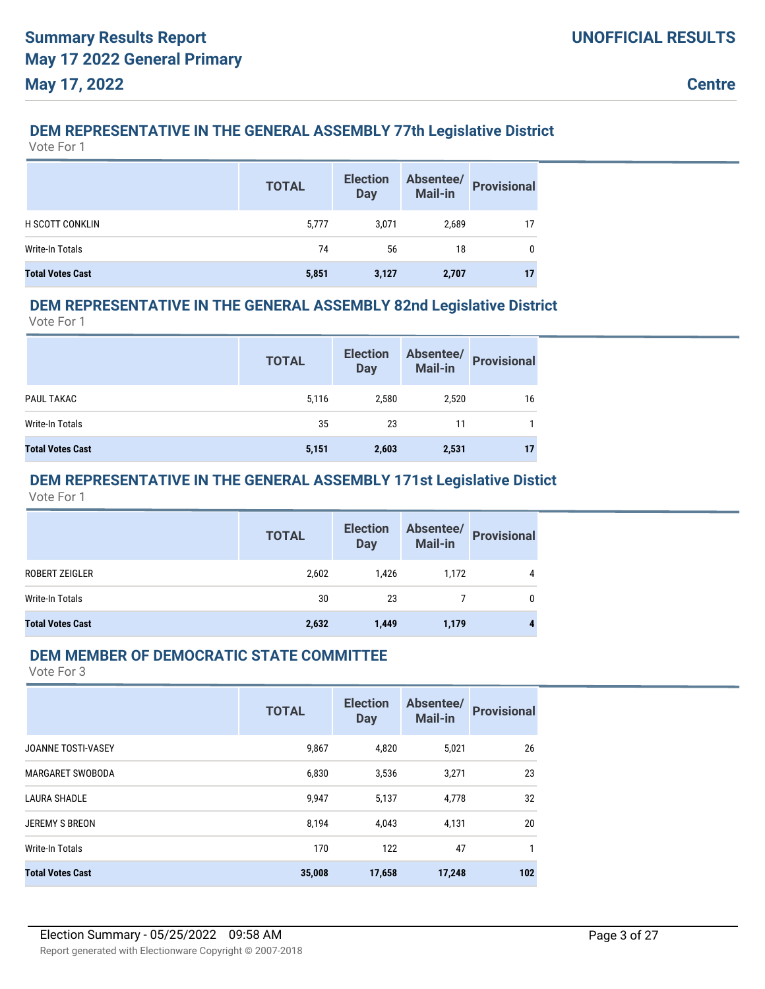### **DEM REPRESENTATIVE IN THE GENERAL ASSEMBLY 77th Legislative District**

Vote For 1

|                         | <b>TOTAL</b> | <b>Election</b><br><b>Day</b> | Absentee/<br><b>Mail-in</b> | <b>Provisional</b> |
|-------------------------|--------------|-------------------------------|-----------------------------|--------------------|
| <b>H SCOTT CONKLIN</b>  | 5,777        | 3.071                         | 2,689                       | 17                 |
| Write-In Totals         | 74           | 56                            | 18                          | 0                  |
| <b>Total Votes Cast</b> | 5,851        | 3,127                         | 2,707                       | 17                 |

## **DEM REPRESENTATIVE IN THE GENERAL ASSEMBLY 82nd Legislative District**

Vote For 1

|                         | <b>TOTAL</b> | <b>Election</b><br><b>Day</b> | Absentee/<br>Mail-in | <b>Provisional</b> |
|-------------------------|--------------|-------------------------------|----------------------|--------------------|
| PAUL TAKAC              | 5,116        | 2,580                         | 2,520                | 16                 |
| Write-In Totals         | 35           | 23                            | 11                   |                    |
| <b>Total Votes Cast</b> | 5,151        | 2,603                         | 2,531                | 17                 |

## **DEM REPRESENTATIVE IN THE GENERAL ASSEMBLY 171st Legislative Distict**

Vote For 1

|                         | <b>TOTAL</b> | <b>Election</b><br><b>Day</b> |       | Absentee/<br>Mail-in Provisional |
|-------------------------|--------------|-------------------------------|-------|----------------------------------|
| ROBERT ZEIGLER          | 2,602        | 1,426                         | 1,172 | 4                                |
| Write-In Totals         | 30           | 23                            |       | 0                                |
| <b>Total Votes Cast</b> | 2,632        | 1,449                         | 1,179 |                                  |

### **DEM MEMBER OF DEMOCRATIC STATE COMMITTEE**

|                         | <b>TOTAL</b> | <b>Election</b><br><b>Day</b> | Absentee/<br><b>Mail-in</b> | <b>Provisional</b> |
|-------------------------|--------------|-------------------------------|-----------------------------|--------------------|
| JOANNE TOSTI-VASEY      | 9,867        | 4,820                         | 5,021                       | 26                 |
| <b>MARGARET SWOBODA</b> | 6,830        | 3,536                         | 3,271                       | 23                 |
| <b>LAURA SHADLE</b>     | 9,947        | 5,137                         | 4,778                       | 32                 |
| <b>JEREMY S BREON</b>   | 8,194        | 4,043                         | 4,131                       | 20                 |
| <b>Write-In Totals</b>  | 170          | 122                           | 47                          | 1                  |
| <b>Total Votes Cast</b> | 35,008       | 17,658                        | 17,248                      | 102                |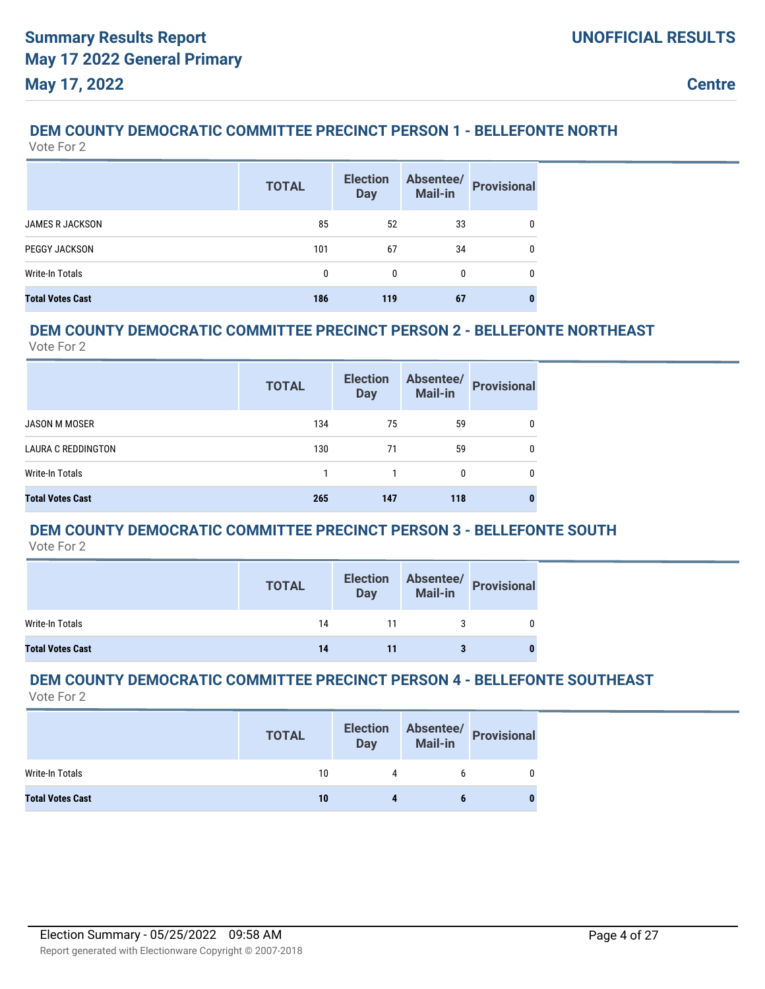## **DEM COUNTY DEMOCRATIC COMMITTEE PRECINCT PERSON 1 - BELLEFONTE NORTH**

Vote For 2

|                         | <b>TOTAL</b> | <b>Election</b><br><b>Day</b> | Absentee/<br><b>Mail-in</b> | <b>Provisional</b> |
|-------------------------|--------------|-------------------------------|-----------------------------|--------------------|
| <b>JAMES R JACKSON</b>  | 85           | 52                            | 33                          | 0                  |
| <b>PEGGY JACKSON</b>    | 101          | 67                            | 34                          | 0                  |
| Write-In Totals         | 0            | 0                             |                             | 0                  |
| <b>Total Votes Cast</b> | 186          | 119                           | 67                          |                    |

## **DEM COUNTY DEMOCRATIC COMMITTEE PRECINCT PERSON 2 - BELLEFONTE NORTHEAST**

Vote For 2

|                           | <b>TOTAL</b> | <b>Election</b><br><b>Day</b> | Absentee/<br><b>Mail-in</b> | <b>Provisional</b> |
|---------------------------|--------------|-------------------------------|-----------------------------|--------------------|
| JASON M MOSER             | 134          | 75                            | 59                          | 0                  |
| <b>LAURA C REDDINGTON</b> | 130          | 71                            | 59                          | 0                  |
| Write-In Totals           |              | 1                             | $\Omega$                    | 0                  |
| <b>Total Votes Cast</b>   | 265          | 147                           | 118                         |                    |

## **DEM COUNTY DEMOCRATIC COMMITTEE PRECINCT PERSON 3 - BELLEFONTE SOUTH**

Vote For 2

|                         | <b>TOTAL</b> | <b>Election</b><br><b>Day</b> | Absentee/<br>Mail-in<br>Provisional |
|-------------------------|--------------|-------------------------------|-------------------------------------|
| Write-In Totals         | 14           | 11                            |                                     |
| <b>Total Votes Cast</b> | 14           |                               |                                     |

#### **DEM COUNTY DEMOCRATIC COMMITTEE PRECINCT PERSON 4 - BELLEFONTE SOUTHEAST** Vote For 2

|                         | <b>TOTAL</b> | <b>Election</b><br>Day | Mail-in | Absentee/ Provisional |
|-------------------------|--------------|------------------------|---------|-----------------------|
| Write-In Totals         | 10           |                        |         |                       |
| <b>Total Votes Cast</b> | 10           |                        |         |                       |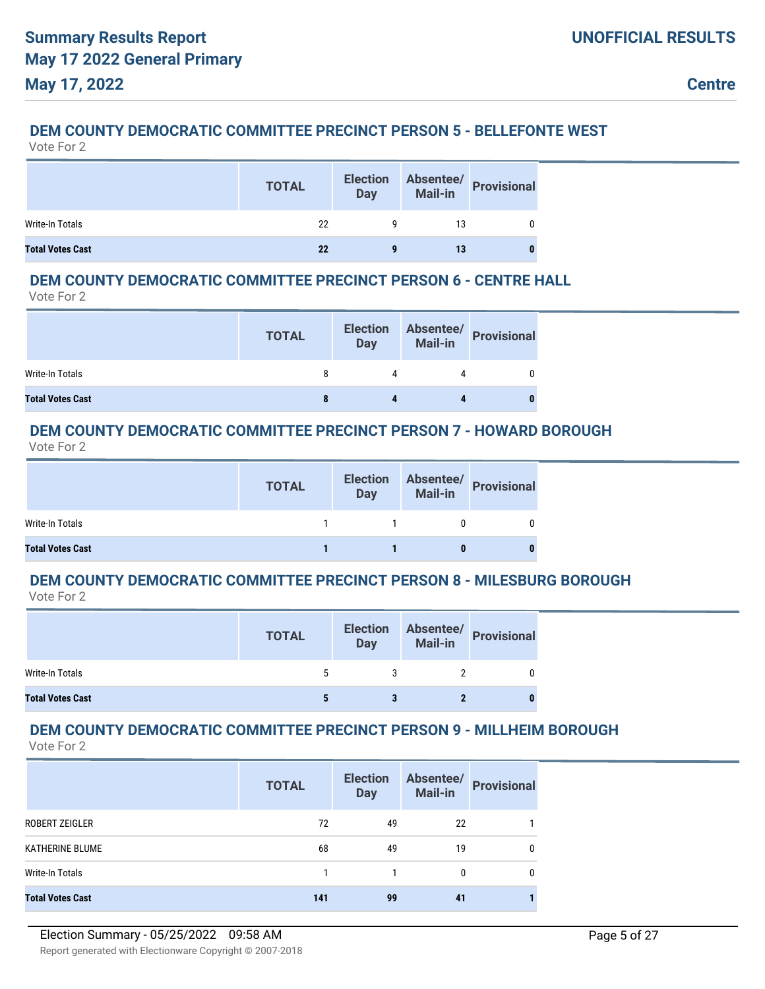## **DEM COUNTY DEMOCRATIC COMMITTEE PRECINCT PERSON 5 - BELLEFONTE WEST**

Vote For 2

|                         | <b>TOTAL</b> | <b>Election</b><br><b>Day</b> |    | Absentee/<br>Mail-in<br>Provisional |
|-------------------------|--------------|-------------------------------|----|-------------------------------------|
| Write-In Totals         | 22           |                               | 13 |                                     |
| <b>Total Votes Cast</b> | 22           |                               | 13 |                                     |

### **DEM COUNTY DEMOCRATIC COMMITTEE PRECINCT PERSON 6 - CENTRE HALL**

Vote For 2

|                         | <b>TOTAL</b> | <b>Election</b><br><b>Day</b> | Absentee/<br>Mail-in Provisional |
|-------------------------|--------------|-------------------------------|----------------------------------|
| Write-In Totals         |              |                               |                                  |
| <b>Total Votes Cast</b> |              |                               |                                  |

### **DEM COUNTY DEMOCRATIC COMMITTEE PRECINCT PERSON 7 - HOWARD BOROUGH**

Vote For 2

|                         | <b>TOTAL</b> | <b>Election</b><br>Day | Absentee/<br>Mail-in Provisional |
|-------------------------|--------------|------------------------|----------------------------------|
| Write-In Totals         |              | $\sim$ 1               |                                  |
| <b>Total Votes Cast</b> |              |                        |                                  |

## **DEM COUNTY DEMOCRATIC COMMITTEE PRECINCT PERSON 8 - MILESBURG BOROUGH**

Vote For 2

|                         | <b>TOTAL</b> | <b>Election</b><br><b>Day</b> | Absentee/<br><b>Mail-in</b> | <b>Provisional</b> |
|-------------------------|--------------|-------------------------------|-----------------------------|--------------------|
| Write-In Totals         |              |                               |                             |                    |
| <b>Total Votes Cast</b> |              |                               |                             |                    |

## **DEM COUNTY DEMOCRATIC COMMITTEE PRECINCT PERSON 9 - MILLHEIM BOROUGH**

|                         | <b>TOTAL</b> | <b>Election</b><br><b>Day</b> | Absentee/<br><b>Mail-in</b> | <b>Provisional</b> |
|-------------------------|--------------|-------------------------------|-----------------------------|--------------------|
| ROBERT ZEIGLER          | 72           | 49                            | 22                          |                    |
| KATHERINE BLUME         | 68           | 49                            | 19                          | 0                  |
| Write-In Totals         |              |                               | 0                           | 0                  |
| <b>Total Votes Cast</b> | 141          | 99                            | 41                          |                    |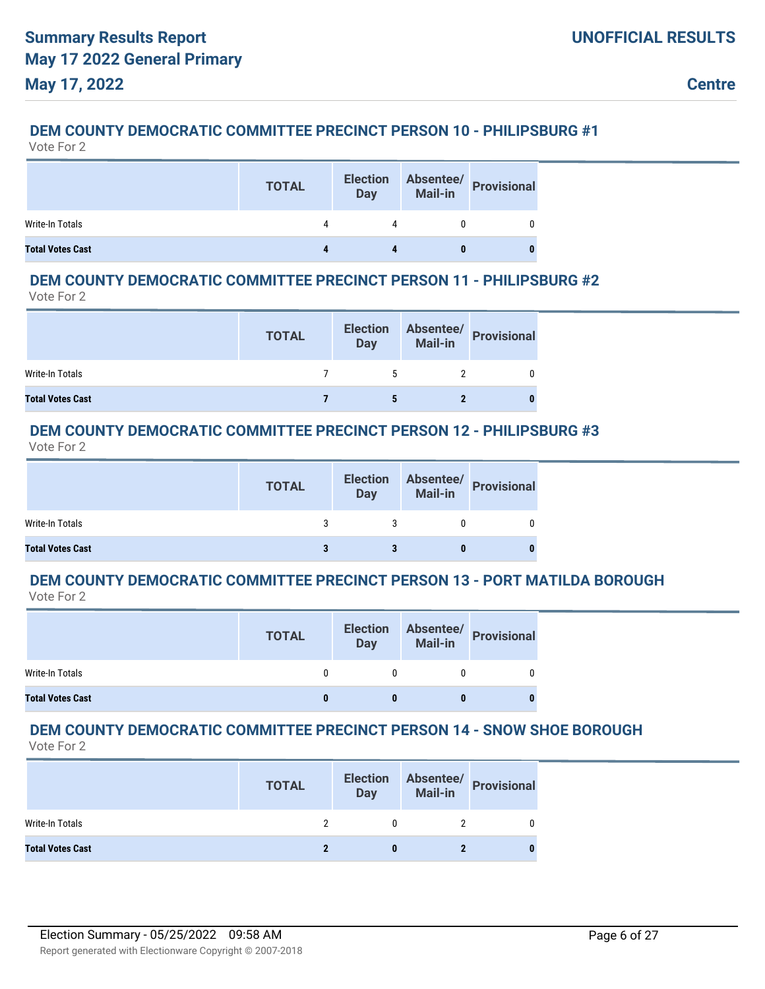## **DEM COUNTY DEMOCRATIC COMMITTEE PRECINCT PERSON 10 - PHILIPSBURG #1**

Vote For 2

|                         | <b>TOTAL</b> | <b>Election</b><br><b>Day</b> | Absentee/<br>Mail-in<br>Provisional |
|-------------------------|--------------|-------------------------------|-------------------------------------|
| Write-In Totals         |              | 4                             |                                     |
| <b>Total Votes Cast</b> |              |                               |                                     |

### **DEM COUNTY DEMOCRATIC COMMITTEE PRECINCT PERSON 11 - PHILIPSBURG #2**

Vote For 2

|                         | <b>TOTAL</b> | <b>Election</b><br><b>Day</b> | Absentee/<br>Mail-in<br>Provisional |
|-------------------------|--------------|-------------------------------|-------------------------------------|
| Write-In Totals         |              |                               |                                     |
| <b>Total Votes Cast</b> |              |                               |                                     |

### **DEM COUNTY DEMOCRATIC COMMITTEE PRECINCT PERSON 12 - PHILIPSBURG #3**

Vote For 2

|                         | <b>TOTAL</b> | <b>Election</b><br><b>Day</b> | Absentee/<br>Mail-in Provisional |
|-------------------------|--------------|-------------------------------|----------------------------------|
| Write-In Totals         |              |                               |                                  |
| <b>Total Votes Cast</b> |              |                               |                                  |

## **DEM COUNTY DEMOCRATIC COMMITTEE PRECINCT PERSON 13 - PORT MATILDA BOROUGH**

Vote For 2

|                         | <b>TOTAL</b> | <b>Election</b><br><b>Day</b> | Absentee/<br>Mail-in Provisional |
|-------------------------|--------------|-------------------------------|----------------------------------|
| Write-In Totals         |              |                               |                                  |
| <b>Total Votes Cast</b> |              |                               |                                  |

## **DEM COUNTY DEMOCRATIC COMMITTEE PRECINCT PERSON 14 - SNOW SHOE BOROUGH**

|                         | <b>TOTAL</b> | <b>Election</b><br><b>Day</b> | Absentee/<br>Mail-in Provisional |
|-------------------------|--------------|-------------------------------|----------------------------------|
| Write-In Totals         |              |                               |                                  |
| <b>Total Votes Cast</b> |              |                               |                                  |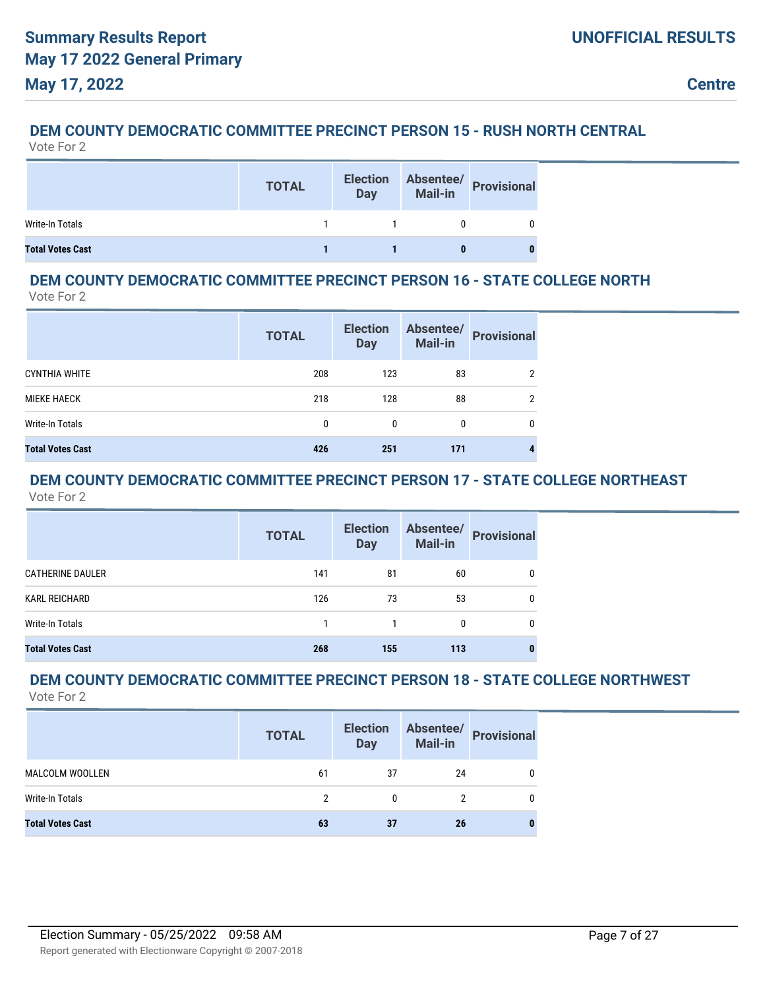# **DEM COUNTY DEMOCRATIC COMMITTEE PRECINCT PERSON 15 - RUSH NORTH CENTRAL**

| Vote For 2 |  |
|------------|--|
|------------|--|

|                         | <b>TOTAL</b> | <b>Election</b><br><b>Day</b> | Absentee/<br>Mail-in<br>Provisional |
|-------------------------|--------------|-------------------------------|-------------------------------------|
| Write-In Totals         |              |                               |                                     |
| <b>Total Votes Cast</b> |              |                               |                                     |

#### **DEM COUNTY DEMOCRATIC COMMITTEE PRECINCT PERSON 16 - STATE COLLEGE NORTH** Vote For 2

|                         | <b>TOTAL</b> | <b>Election</b><br><b>Day</b> | Absentee/<br><b>Mail-in</b> | <b>Provisional</b> |
|-------------------------|--------------|-------------------------------|-----------------------------|--------------------|
| <b>CYNTHIA WHITE</b>    | 208          | 123                           | 83                          | 2                  |
| <b>MIEKE HAECK</b>      | 218          | 128                           | 88                          | 2                  |
| Write-In Totals         | 0            | 0                             | 0                           | 0                  |
| <b>Total Votes Cast</b> | 426          | 251                           | 171                         |                    |

#### **DEM COUNTY DEMOCRATIC COMMITTEE PRECINCT PERSON 17 - STATE COLLEGE NORTHEAST** Vote For 2

|                         | <b>TOTAL</b> | <b>Election</b><br><b>Day</b> | Absentee/<br><b>Mail-in</b> | <b>Provisional</b> |
|-------------------------|--------------|-------------------------------|-----------------------------|--------------------|
| <b>CATHERINE DAULER</b> | 141          | 81                            | 60                          | 0                  |
| KARL REICHARD           | 126          | 73                            | 53                          | 0                  |
| <b>Write-In Totals</b>  |              |                               | 0                           | 0                  |
| <b>Total Votes Cast</b> | 268          | 155                           | 113                         |                    |

#### **DEM COUNTY DEMOCRATIC COMMITTEE PRECINCT PERSON 18 - STATE COLLEGE NORTHWEST** Vote For 2

|                         | <b>TOTAL</b> | <b>Election</b><br><b>Day</b> | Absentee/<br><b>Mail-in</b> | <b>Provisional</b> |
|-------------------------|--------------|-------------------------------|-----------------------------|--------------------|
| MALCOLM WOOLLEN         | 61           | 37                            | 24                          | 0                  |
| Write-In Totals         | 2            | 0                             | 2                           | 0                  |
| <b>Total Votes Cast</b> | 63           | 37                            | 26                          |                    |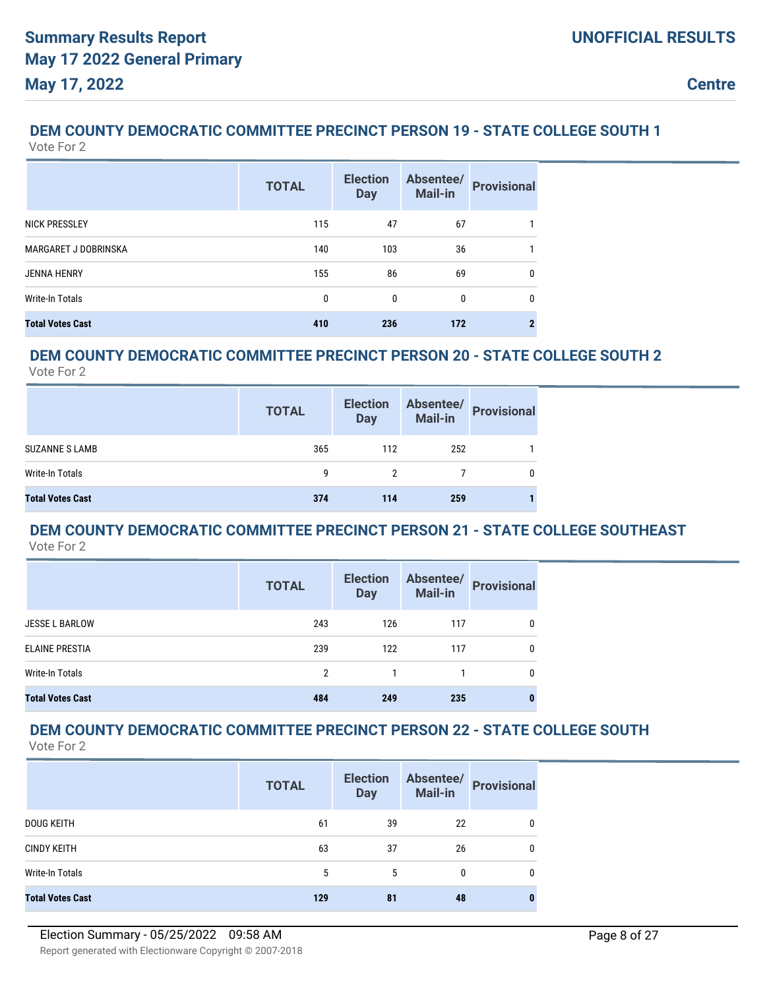#### **DEM COUNTY DEMOCRATIC COMMITTEE PRECINCT PERSON 19 - STATE COLLEGE SOUTH 1** Vote For 2

|                         | <b>TOTAL</b> | <b>Election</b><br><b>Day</b> | Absentee/<br>Mail-in | <b>Provisional</b> |
|-------------------------|--------------|-------------------------------|----------------------|--------------------|
| <b>NICK PRESSLEY</b>    | 115          | 47                            | 67                   |                    |
| MARGARET J DOBRINSKA    | 140          | 103                           | 36                   |                    |
| <b>JENNA HENRY</b>      | 155          | 86                            | 69                   | $\mathbf{0}$       |
| Write-In Totals         | 0            | 0                             | $\Omega$             | $\mathbf{0}$       |
| <b>Total Votes Cast</b> | 410          | 236                           | 172                  |                    |

#### **DEM COUNTY DEMOCRATIC COMMITTEE PRECINCT PERSON 20 - STATE COLLEGE SOUTH 2** Vote For 2

|                         | <b>TOTAL</b> | <b>Election</b><br><b>Day</b> |     | Absentee/<br>Mail-in Provisional |
|-------------------------|--------------|-------------------------------|-----|----------------------------------|
| <b>SUZANNE S LAMB</b>   | 365          | 112                           | 252 |                                  |
| Write-In Totals         | g            |                               |     | 0                                |
| <b>Total Votes Cast</b> | 374          | 114                           | 259 |                                  |

#### **DEM COUNTY DEMOCRATIC COMMITTEE PRECINCT PERSON 21 - STATE COLLEGE SOUTHEAST** Vote For 2

|                         | <b>TOTAL</b>   | <b>Election</b><br><b>Day</b> | Absentee/<br>Mail-in | <b>Provisional</b> |
|-------------------------|----------------|-------------------------------|----------------------|--------------------|
| <b>JESSE L BARLOW</b>   | 243            | 126                           | 117                  | 0                  |
| <b>ELAINE PRESTIA</b>   | 239            | 122                           | 117                  | 0                  |
| Write-In Totals         | $\mathfrak{p}$ |                               |                      | 0                  |
| <b>Total Votes Cast</b> | 484            | 249                           | 235                  | 0                  |

# **DEM COUNTY DEMOCRATIC COMMITTEE PRECINCT PERSON 22 - STATE COLLEGE SOUTH**

|                         | <b>TOTAL</b> | <b>Election</b><br><b>Day</b> | Absentee/<br>Mail-in | <b>Provisional</b> |
|-------------------------|--------------|-------------------------------|----------------------|--------------------|
| <b>DOUG KEITH</b>       | 61           | 39                            | 22                   |                    |
| <b>CINDY KEITH</b>      | 63           | 37                            | 26                   |                    |
| Write-In Totals         | 5            | 5                             | 0                    | 0                  |
| <b>Total Votes Cast</b> | 129          | 81                            | 48                   |                    |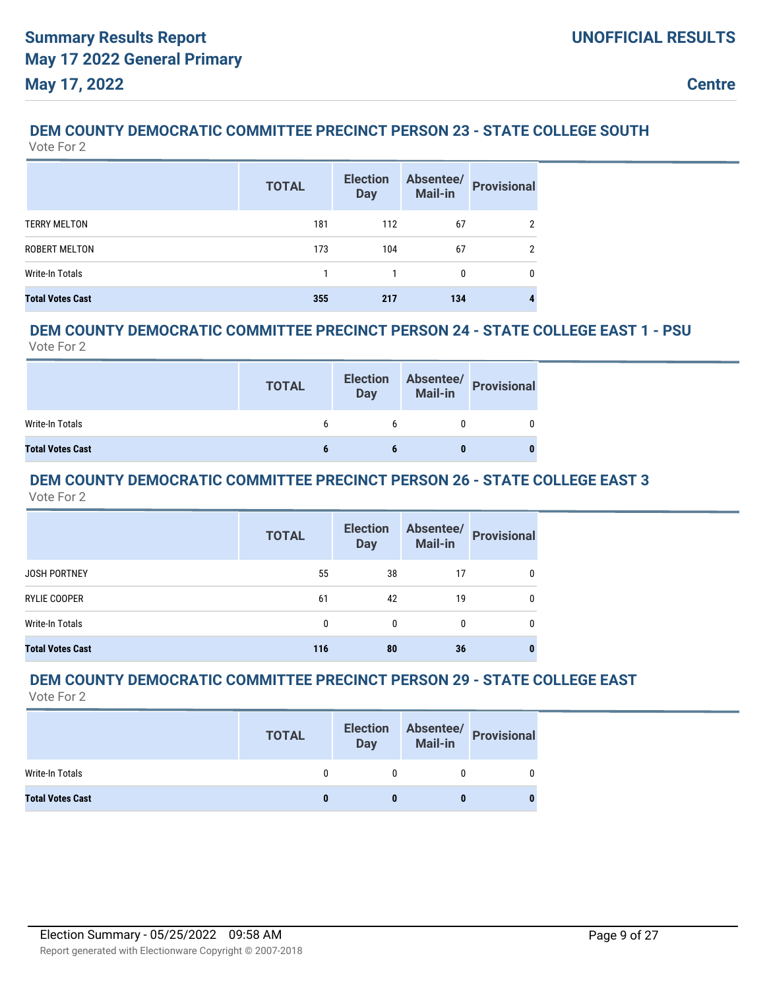#### **DEM COUNTY DEMOCRATIC COMMITTEE PRECINCT PERSON 23 - STATE COLLEGE SOUTH** Vote For 2

|                         | <b>TOTAL</b> | <b>Election</b><br><b>Day</b> | Absentee/<br><b>Mail-in</b> | <b>Provisional</b> |
|-------------------------|--------------|-------------------------------|-----------------------------|--------------------|
| <b>TERRY MELTON</b>     | 181          | 112                           | 67                          | $\overline{2}$     |
| ROBERT MELTON           | 173          | 104                           | 67                          | 2                  |
| <b>Write-In Totals</b>  |              |                               | 0                           | 0                  |
| <b>Total Votes Cast</b> | 355          | 217                           | 134                         | 4                  |

## **DEM COUNTY DEMOCRATIC COMMITTEE PRECINCT PERSON 24 - STATE COLLEGE EAST 1 - PSU**

Vote For 2

|                         | <b>TOTAL</b> | <b>Election</b><br><b>Day</b> |   | Absentee/<br>Mail-in<br> |
|-------------------------|--------------|-------------------------------|---|--------------------------|
| Write-In Totals         |              |                               |   |                          |
| <b>Total Votes Cast</b> |              |                               | 0 |                          |

#### **DEM COUNTY DEMOCRATIC COMMITTEE PRECINCT PERSON 26 - STATE COLLEGE EAST 3** Vote For 2

|                         | <b>TOTAL</b> | <b>Election</b><br><b>Day</b> | <b>Mail-in</b> | Absentee/ Provisional |
|-------------------------|--------------|-------------------------------|----------------|-----------------------|
| <b>JOSH PORTNEY</b>     | 55           | 38                            | 17             | 0                     |
| RYLIE COOPER            | 61           | 42                            | 19             | 0                     |
| Write-In Totals         | 0            | $\Omega$                      | 0              | 0                     |
| <b>Total Votes Cast</b> | 116          | 80                            | 36             |                       |

#### **DEM COUNTY DEMOCRATIC COMMITTEE PRECINCT PERSON 29 - STATE COLLEGE EAST** Vote For 2

|                         | <b>TOTAL</b> | <b>Election</b><br><b>Day</b> | Absentee/<br>Mail-in<br>Provisional |
|-------------------------|--------------|-------------------------------|-------------------------------------|
| Write-In Totals         |              |                               |                                     |
| <b>Total Votes Cast</b> |              |                               |                                     |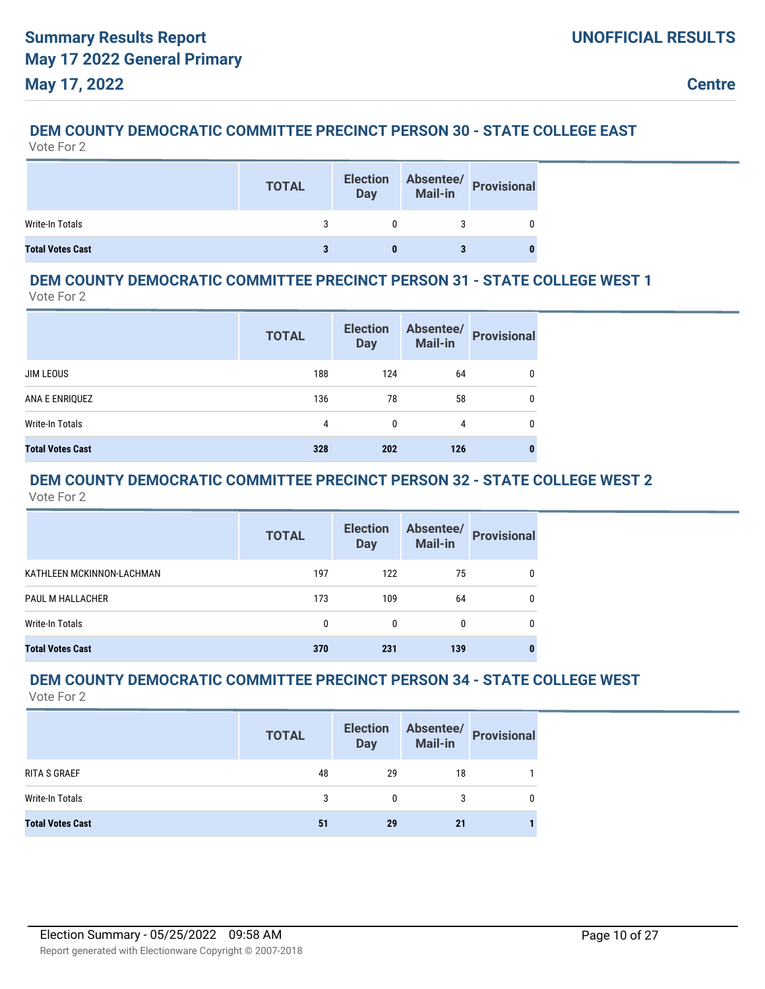# **DEM COUNTY DEMOCRATIC COMMITTEE PRECINCT PERSON 30 - STATE COLLEGE EAST**

|                         | <b>TOTAL</b> | <b>Election</b><br><b>Day</b> | Absentee/<br>Mail-in Provisional |
|-------------------------|--------------|-------------------------------|----------------------------------|
| Write-In Totals         |              |                               |                                  |
| <b>Total Votes Cast</b> |              |                               |                                  |

#### **DEM COUNTY DEMOCRATIC COMMITTEE PRECINCT PERSON 31 - STATE COLLEGE WEST 1** Vote For 2

|                         | <b>TOTAL</b> | <b>Election</b><br><b>Day</b> | Absentee/<br>Mail-in | <b>Provisional</b> |
|-------------------------|--------------|-------------------------------|----------------------|--------------------|
| <b>JIM LEOUS</b>        | 188          | 124                           | 64                   | 0                  |
| ANA E ENRIQUEZ          | 136          | 78                            | 58                   | 0                  |
| Write-In Totals         | 4            | 0                             | 4                    | 0                  |
| <b>Total Votes Cast</b> | 328          | 202                           | 126                  | 0                  |

#### **DEM COUNTY DEMOCRATIC COMMITTEE PRECINCT PERSON 32 - STATE COLLEGE WEST 2** Vote For 2

|                           | <b>TOTAL</b> | <b>Election</b><br><b>Day</b> | Absentee/<br><b>Mail-in</b> | <b>Provisional</b> |
|---------------------------|--------------|-------------------------------|-----------------------------|--------------------|
| KATHLEEN MCKINNON-LACHMAN | 197          | 122                           | 75                          |                    |
| PAUL M HALLACHER          | 173          | 109                           | 64                          |                    |
| Write-In Totals           | $\mathbf{0}$ | 0                             | 0                           | 0                  |
| <b>Total Votes Cast</b>   | 370          | 231                           | 139                         |                    |

#### **DEM COUNTY DEMOCRATIC COMMITTEE PRECINCT PERSON 34 - STATE COLLEGE WEST** Vote For 2

|                         | <b>TOTAL</b> | <b>Election</b><br><b>Day</b> | Absentee/<br><b>Mail-in</b> | <b>Provisional</b> |
|-------------------------|--------------|-------------------------------|-----------------------------|--------------------|
| <b>RITA S GRAEF</b>     | 48           | 29                            | 18                          |                    |
| Write-In Totals         | 3            | 0                             |                             |                    |
| <b>Total Votes Cast</b> | 51           | 29                            | 21                          |                    |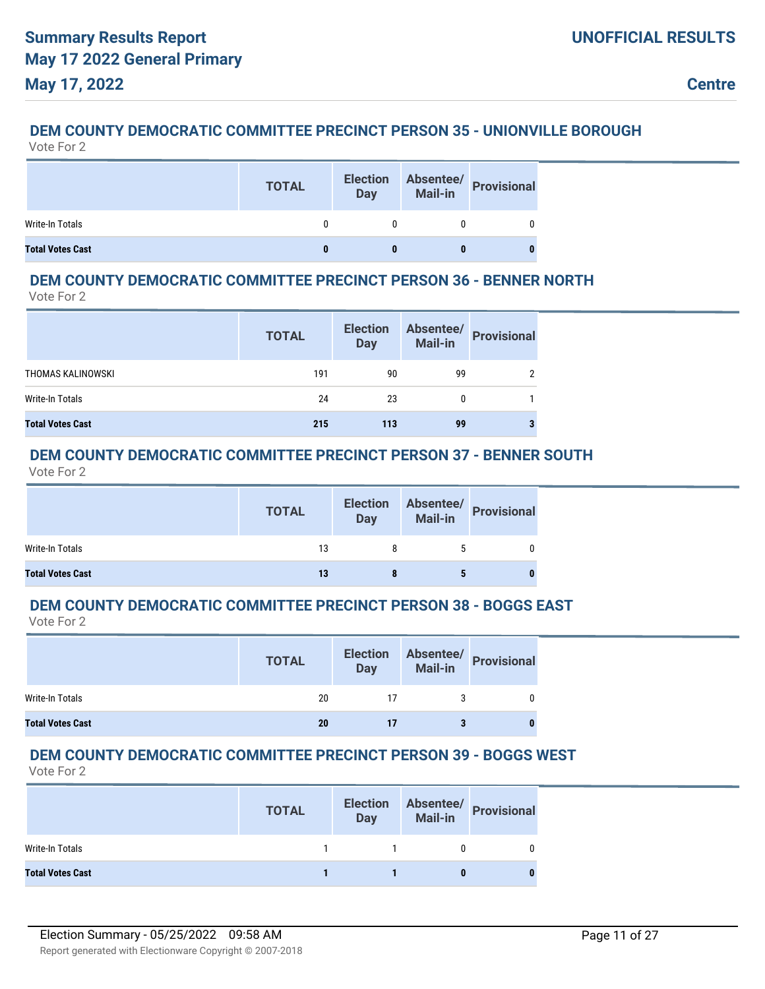#### **DEM COUNTY DEMOCRATIC COMMITTEE PRECINCT PERSON 35 - UNIONVILLE BOROUGH** Vote For 2

|                         | <b>TOTAL</b> | <b>Election</b><br>Day | Absentee/<br>Mail-in Provisional |
|-------------------------|--------------|------------------------|----------------------------------|
| Write-In Totals         |              |                        |                                  |
| <b>Total Votes Cast</b> |              |                        |                                  |

## **DEM COUNTY DEMOCRATIC COMMITTEE PRECINCT PERSON 36 - BENNER NORTH**

Vote For 2

|                         | <b>TOTAL</b> | <b>Election</b><br><b>Day</b> | Absentee/<br><b>Mail-in</b> | <b>Provisional</b> |
|-------------------------|--------------|-------------------------------|-----------------------------|--------------------|
| THOMAS KALINOWSKI       | 191          | 90                            | 99                          |                    |
| Write-In Totals         | 24           | 23                            |                             |                    |
| <b>Total Votes Cast</b> | 215          | 113                           | 99                          | 3                  |

## **DEM COUNTY DEMOCRATIC COMMITTEE PRECINCT PERSON 37 - BENNER SOUTH**

Vote For 2

|                         | <b>TOTAL</b> | <b>Election</b><br><b>Day</b> | Absentee/<br>Mail-in<br> |
|-------------------------|--------------|-------------------------------|--------------------------|
| Write-In Totals         | 13           |                               |                          |
| <b>Total Votes Cast</b> | 13           |                               |                          |

#### **DEM COUNTY DEMOCRATIC COMMITTEE PRECINCT PERSON 38 - BOGGS EAST** Vote For 2

|                         | <b>TOTAL</b> | <b>Election</b><br><b>Day</b> | Absentee/<br>Mail-in Provisional |
|-------------------------|--------------|-------------------------------|----------------------------------|
| Write-In Totals         | 20           |                               |                                  |
| <b>Total Votes Cast</b> | 20           | 17                            |                                  |

## **DEM COUNTY DEMOCRATIC COMMITTEE PRECINCT PERSON 39 - BOGGS WEST**

|                         | <b>TOTAL</b> | <b>Election</b><br><b>Day</b> | Absentee/<br>Mail-in<br>Mail-in |
|-------------------------|--------------|-------------------------------|---------------------------------|
| Write-In Totals         |              |                               |                                 |
| <b>Total Votes Cast</b> |              |                               |                                 |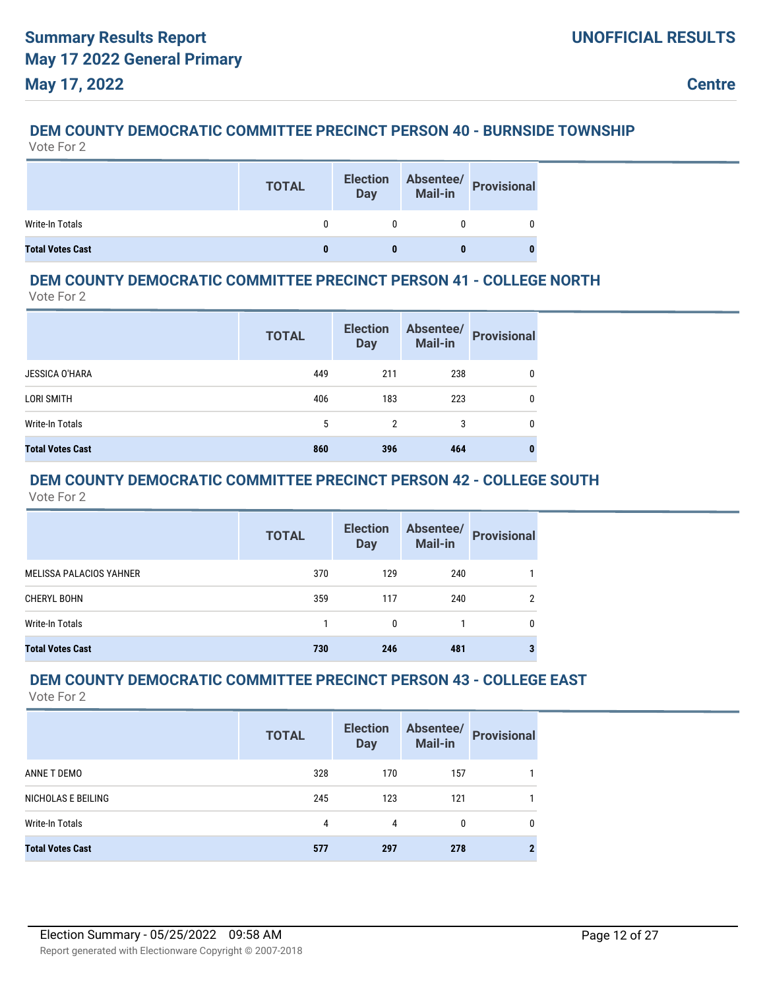#### **DEM COUNTY DEMOCRATIC COMMITTEE PRECINCT PERSON 40 - BURNSIDE TOWNSHIP** Vote For 2

|                         | <b>TOTAL</b> | <b>Election</b><br><b>Day</b> | Absentee/<br>Mail-in Provisional |
|-------------------------|--------------|-------------------------------|----------------------------------|
| Write-In Totals         |              |                               |                                  |
| <b>Total Votes Cast</b> |              |                               |                                  |

#### **DEM COUNTY DEMOCRATIC COMMITTEE PRECINCT PERSON 41 - COLLEGE NORTH** Vote For 2

|                         | <b>TOTAL</b> | <b>Election</b><br><b>Day</b> | Absentee/<br><b>Mail-in</b> | <b>Provisional</b> |
|-------------------------|--------------|-------------------------------|-----------------------------|--------------------|
| <b>JESSICA O'HARA</b>   | 449          | 211                           | 238                         | 0                  |
| LORI SMITH              | 406          | 183                           | 223                         | 0                  |
| Write-In Totals         | 5            | 2                             | 3                           | 0                  |
| <b>Total Votes Cast</b> | 860          | 396                           | 464                         | 0                  |

#### **DEM COUNTY DEMOCRATIC COMMITTEE PRECINCT PERSON 42 - COLLEGE SOUTH** Vote For 2

|                         | <b>TOTAL</b> | <b>Election</b><br><b>Day</b> | <b>Mail-in</b> | Absentee/ Provisional |
|-------------------------|--------------|-------------------------------|----------------|-----------------------|
| MELISSA PALACIOS YAHNER | 370          | 129                           | 240            |                       |
| CHERYL BOHN             | 359          | 117                           | 240            | 2                     |
| Write-In Totals         |              | $\mathbf{0}$                  |                | 0                     |
| <b>Total Votes Cast</b> | 730          | 246                           | 481            |                       |

# **DEM COUNTY DEMOCRATIC COMMITTEE PRECINCT PERSON 43 - COLLEGE EAST**

|                         | <b>TOTAL</b> | <b>Election</b><br><b>Day</b> | Absentee/<br>Mail-in | <b>Provisional</b> |
|-------------------------|--------------|-------------------------------|----------------------|--------------------|
| ANNE T DEMO             | 328          | 170                           | 157                  |                    |
| NICHOLAS E BEILING      | 245          | 123                           | 121                  |                    |
| <b>Write-In Totals</b>  | 4            | 4                             | 0                    | 0                  |
| <b>Total Votes Cast</b> | 577          | 297                           | 278                  |                    |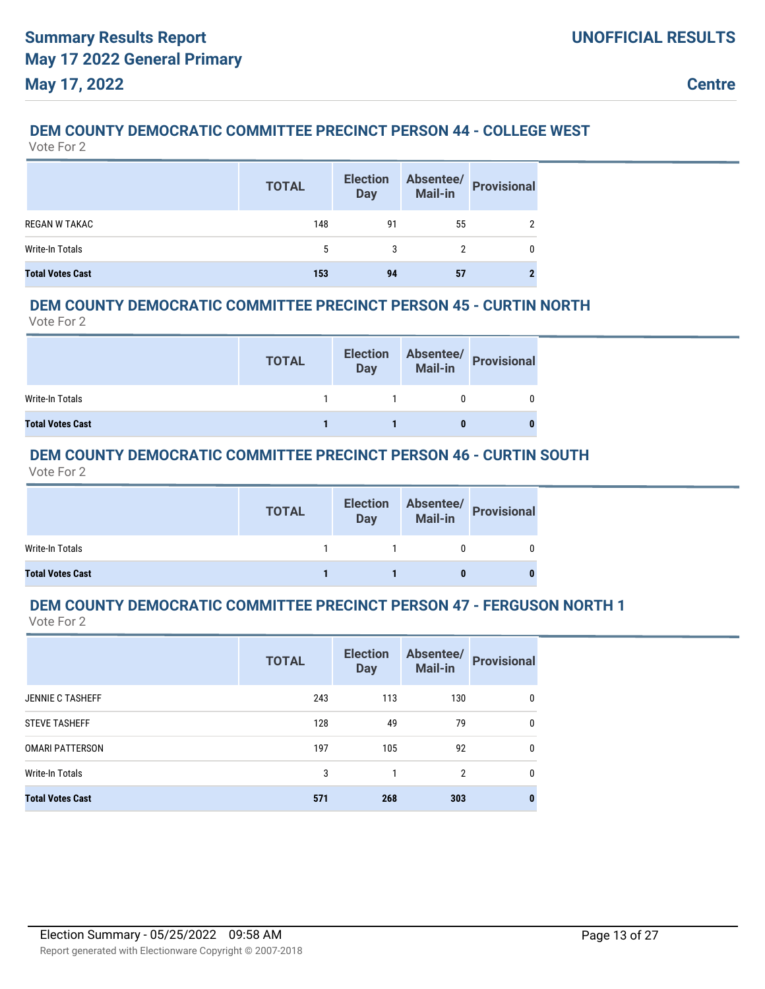## **DEM COUNTY DEMOCRATIC COMMITTEE PRECINCT PERSON 44 - COLLEGE WEST**

Vote For 2

|                         | <b>TOTAL</b> | <b>Election</b><br><b>Day</b> | Absentee/<br><b>Mail-in</b> | Provisional |
|-------------------------|--------------|-------------------------------|-----------------------------|-------------|
| <b>REGAN W TAKAC</b>    | 148          | 91                            | 55                          |             |
| Write-In Totals         | 5            | 3                             |                             |             |
| <b>Total Votes Cast</b> | 153          | 94                            | 57                          |             |

### **DEM COUNTY DEMOCRATIC COMMITTEE PRECINCT PERSON 45 - CURTIN NORTH**

Vote For 2

|                         | <b>TOTAL</b> | <b>Election</b><br><b>Day</b> | Absentee/<br>Mail-in<br> |
|-------------------------|--------------|-------------------------------|--------------------------|
| Write-In Totals         |              |                               |                          |
| <b>Total Votes Cast</b> |              |                               | 0                        |

## **DEM COUNTY DEMOCRATIC COMMITTEE PRECINCT PERSON 46 - CURTIN SOUTH**

Vote For 2

|                         | <b>TOTAL</b> | <b>Election</b><br><b>Day</b> | Absentee/<br>Mail-in<br>Dispositional |
|-------------------------|--------------|-------------------------------|---------------------------------------|
| Write-In Totals         |              |                               |                                       |
| <b>Total Votes Cast</b> |              |                               |                                       |

#### **DEM COUNTY DEMOCRATIC COMMITTEE PRECINCT PERSON 47 - FERGUSON NORTH 1** Vote For 2

|                         | <b>TOTAL</b> | <b>Election</b><br><b>Day</b> | Absentee/<br>Mail-in | <b>Provisional</b> |
|-------------------------|--------------|-------------------------------|----------------------|--------------------|
| <b>JENNIE C TASHEFF</b> | 243          | 113                           | 130                  | 0                  |
| <b>STEVE TASHEFF</b>    | 128          | 49                            | 79                   | $\mathbf{0}$       |
| <b>OMARI PATTERSON</b>  | 197          | 105                           | 92                   | 0                  |
| Write-In Totals         | 3            |                               | $\overline{2}$       | 0                  |
| <b>Total Votes Cast</b> | 571          | 268                           | 303                  | 0                  |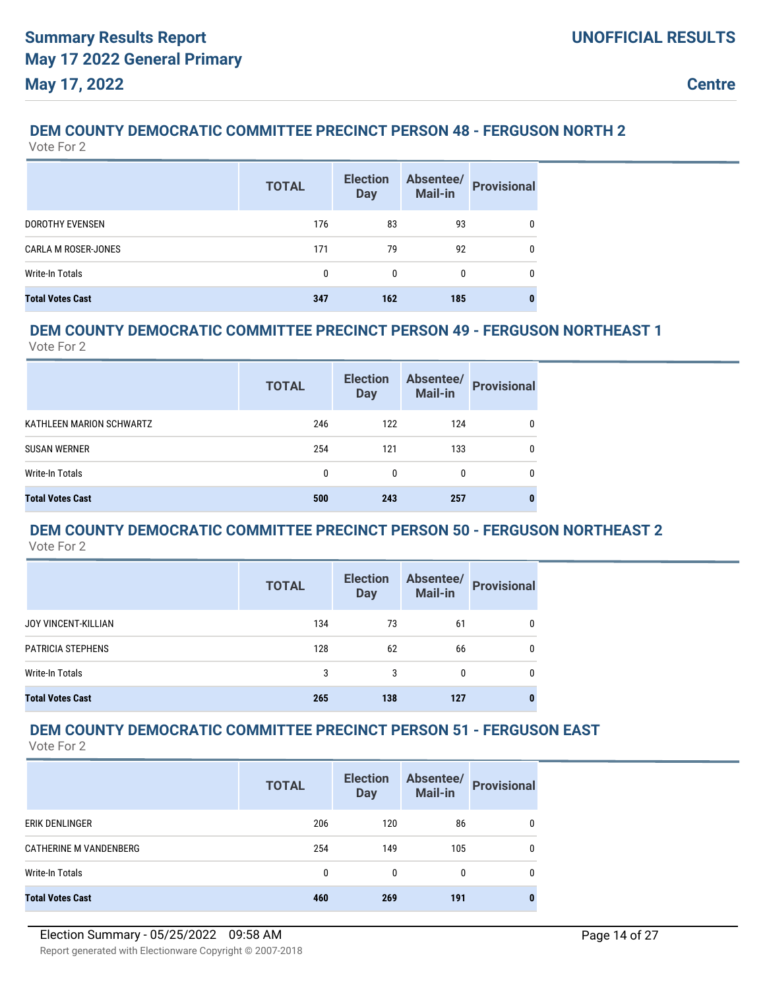## **DEM COUNTY DEMOCRATIC COMMITTEE PRECINCT PERSON 48 - FERGUSON NORTH 2**

Vote For 2

|                            | <b>TOTAL</b> | <b>Election</b><br><b>Day</b> | Absentee/<br><b>Mail-in</b> | <b>Provisional</b> |
|----------------------------|--------------|-------------------------------|-----------------------------|--------------------|
| <b>DOROTHY EVENSEN</b>     | 176          | 83                            | 93                          | 0                  |
| <b>CARLA M ROSER-JONES</b> | 171          | 79                            | 92                          | 0                  |
| Write-In Totals            | 0            | 0                             | 0                           | 0                  |
| <b>Total Votes Cast</b>    | 347          | 162                           | 185                         |                    |

## **DEM COUNTY DEMOCRATIC COMMITTEE PRECINCT PERSON 49 - FERGUSON NORTHEAST 1**

Vote For 2

|                          | <b>TOTAL</b> | <b>Election</b><br><b>Day</b> | Absentee/<br><b>Mail-in</b> | <b>Provisional</b> |
|--------------------------|--------------|-------------------------------|-----------------------------|--------------------|
| KATHLEEN MARION SCHWARTZ | 246          | 122                           | 124                         | 0                  |
| <b>SUSAN WERNER</b>      | 254          | 121                           | 133                         | 0                  |
| Write-In Totals          | 0            | 0                             | 0                           | 0                  |
| <b>Total Votes Cast</b>  | 500          | 243                           | 257                         |                    |

#### **DEM COUNTY DEMOCRATIC COMMITTEE PRECINCT PERSON 50 - FERGUSON NORTHEAST 2** Vote For 2

|                            | <b>TOTAL</b> | <b>Election</b><br><b>Day</b> | Absentee/<br><b>Mail-in</b> | <b>Provisional</b> |
|----------------------------|--------------|-------------------------------|-----------------------------|--------------------|
| <b>JOY VINCENT-KILLIAN</b> | 134          | 73                            | 61                          | 0                  |
| PATRICIA STEPHENS          | 128          | 62                            | 66                          | 0                  |
| Write-In Totals            | 3            | 3                             | 0                           | 0                  |
| <b>Total Votes Cast</b>    | 265          | 138                           | 127                         |                    |

## **DEM COUNTY DEMOCRATIC COMMITTEE PRECINCT PERSON 51 - FERGUSON EAST**

|                               | <b>TOTAL</b> | <b>Election</b><br><b>Day</b> | Absentee/<br>Mail-in | <b>Provisional</b> |
|-------------------------------|--------------|-------------------------------|----------------------|--------------------|
| ERIK DENLINGER                | 206          | 120                           | 86                   | 0                  |
| <b>CATHERINE M VANDENBERG</b> | 254          | 149                           | 105                  | 0                  |
| Write-In Totals               | 0            | 0                             | 0                    | 0                  |
| <b>Total Votes Cast</b>       | 460          | 269                           | 191                  | 0                  |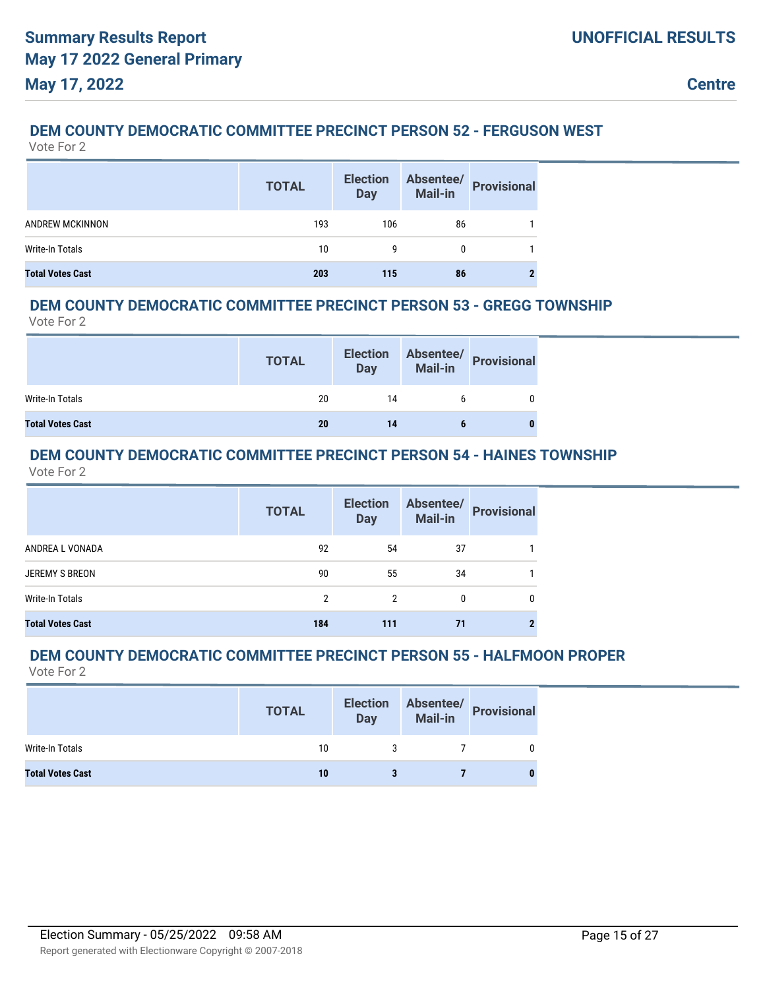## **DEM COUNTY DEMOCRATIC COMMITTEE PRECINCT PERSON 52 - FERGUSON WEST**

Vote For 2

|                         | <b>TOTAL</b> | <b>Election</b><br><b>Day</b> | Absentee/<br>Mail-in Provisional |  |
|-------------------------|--------------|-------------------------------|----------------------------------|--|
| <b>ANDREW MCKINNON</b>  | 193          | 106                           | 86                               |  |
| Write-In Totals         | 10           |                               |                                  |  |
| <b>Total Votes Cast</b> | 203          | 115                           | 86                               |  |

#### **DEM COUNTY DEMOCRATIC COMMITTEE PRECINCT PERSON 53 - GREGG TOWNSHIP**

Vote For 2

|                         | <b>TOTAL</b> | <b>Election</b><br>Day |   | Absentee/<br>Mail-in<br>Provisional |
|-------------------------|--------------|------------------------|---|-------------------------------------|
| Write-In Totals         | 20           | 14                     | b |                                     |
| <b>Total Votes Cast</b> | 20           | 14                     |   |                                     |

#### **DEM COUNTY DEMOCRATIC COMMITTEE PRECINCT PERSON 54 - HAINES TOWNSHIP** Vote For 2

|                         | <b>TOTAL</b> | <b>Election</b><br><b>Day</b> | Absentee/<br><b>Mail-in</b> | <b>Provisional</b> |
|-------------------------|--------------|-------------------------------|-----------------------------|--------------------|
| ANDREA L VONADA         | 92           | 54                            | 37                          |                    |
| <b>JEREMY S BREON</b>   | 90           | 55                            | 34                          |                    |
| Write-In Totals         | 2            | 2                             | 0                           | 0                  |
| <b>Total Votes Cast</b> | 184          | 111                           | 71                          |                    |

### **DEM COUNTY DEMOCRATIC COMMITTEE PRECINCT PERSON 55 - HALFMOON PROPER**

|                         | <b>TOTAL</b> | <b>Election</b><br><b>Day</b> | Mail-in | Absentee/ Provisional |
|-------------------------|--------------|-------------------------------|---------|-----------------------|
| Write-In Totals         | 10           |                               |         |                       |
| <b>Total Votes Cast</b> | 10           |                               |         |                       |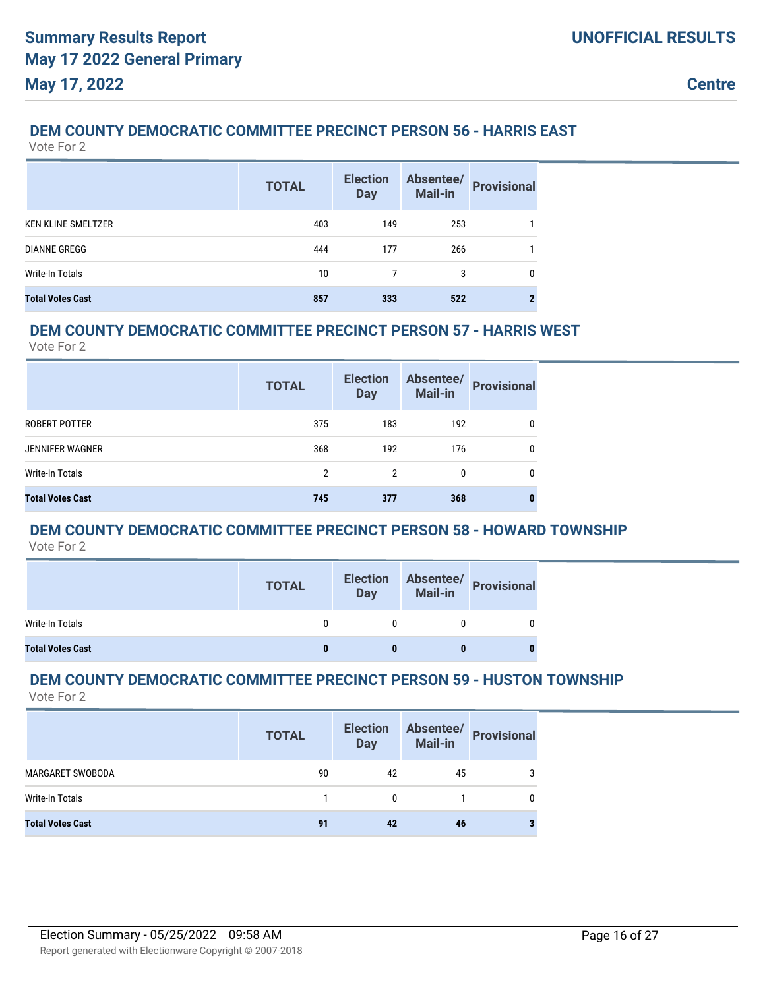## **DEM COUNTY DEMOCRATIC COMMITTEE PRECINCT PERSON 56 - HARRIS EAST**

Vote For 2

|                           | <b>TOTAL</b> | <b>Election</b><br><b>Day</b> | Absentee/<br><b>Mail-in</b> | <b>Provisional</b> |
|---------------------------|--------------|-------------------------------|-----------------------------|--------------------|
| <b>KEN KLINE SMELTZER</b> | 403          | 149                           | 253                         |                    |
| <b>DIANNE GREGG</b>       | 444          | 177                           | 266                         |                    |
| <b>Write-In Totals</b>    | 10           | 7                             | 3                           | 0                  |
| <b>Total Votes Cast</b>   | 857          | 333                           | 522                         |                    |

### **DEM COUNTY DEMOCRATIC COMMITTEE PRECINCT PERSON 57 - HARRIS WEST**

Vote For 2

|                         | <b>TOTAL</b>   | <b>Election</b><br><b>Day</b> | Absentee/<br><b>Mail-in</b> | <b>Provisional</b> |
|-------------------------|----------------|-------------------------------|-----------------------------|--------------------|
| ROBERT POTTER           | 375            | 183                           | 192                         | 0                  |
| <b>JENNIFER WAGNER</b>  | 368            | 192                           | 176                         | 0                  |
| Write-In Totals         | $\mathfrak{p}$ | $\mathfrak{p}$                | $\Omega$                    | 0                  |
| <b>Total Votes Cast</b> | 745            | 377                           | 368                         | 0                  |

## **DEM COUNTY DEMOCRATIC COMMITTEE PRECINCT PERSON 58 - HOWARD TOWNSHIP**

Vote For 2

|                         | <b>TOTAL</b> | <b>Election</b><br>Day | <b>Mail-in</b> | Absentee/ Provisional |
|-------------------------|--------------|------------------------|----------------|-----------------------|
| Write-In Totals         |              |                        |                |                       |
| <b>Total Votes Cast</b> |              |                        |                |                       |

#### **DEM COUNTY DEMOCRATIC COMMITTEE PRECINCT PERSON 59 - HUSTON TOWNSHIP** Vote For 2

|                         | <b>TOTAL</b> | <b>Election</b><br><b>Day</b> | Absentee/<br><b>Mail-in</b> | <b>Provisional</b> |
|-------------------------|--------------|-------------------------------|-----------------------------|--------------------|
| MARGARET SWOBODA        | 90           | 42                            | 45                          | 3                  |
| Write-In Totals         |              |                               |                             |                    |
| <b>Total Votes Cast</b> | 91           | 42                            | 46                          |                    |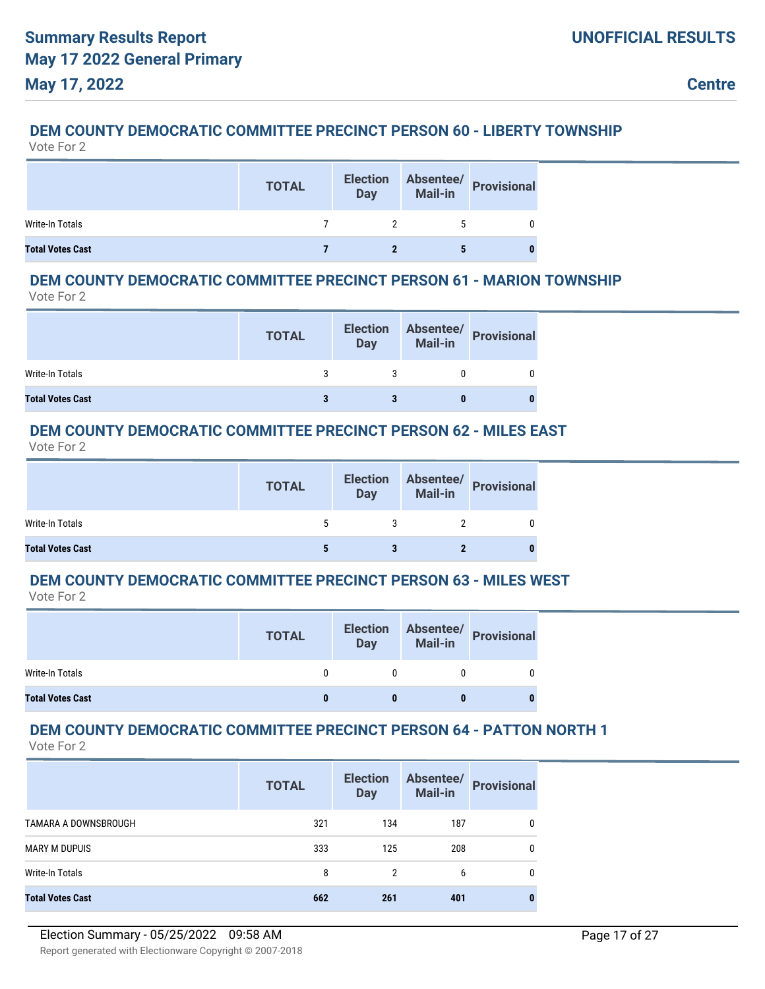# **DEM COUNTY DEMOCRATIC COMMITTEE PRECINCT PERSON 60 - LIBERTY TOWNSHIP**

Vote For 2

|                         | <b>TOTAL</b> | <b>Election</b><br><b>Day</b> | Absentee/<br>Mail-in Provisional |
|-------------------------|--------------|-------------------------------|----------------------------------|
| Write-In Totals         |              |                               |                                  |
| <b>Total Votes Cast</b> |              |                               |                                  |

## **DEM COUNTY DEMOCRATIC COMMITTEE PRECINCT PERSON 61 - MARION TOWNSHIP**

Vote For 2

|                         | <b>TOTAL</b> | <b>Election</b><br>Day | Absentee/<br>Mail-in<br>Provisional |
|-------------------------|--------------|------------------------|-------------------------------------|
| Write-In Totals         |              |                        |                                     |
| <b>Total Votes Cast</b> |              |                        |                                     |

### **DEM COUNTY DEMOCRATIC COMMITTEE PRECINCT PERSON 62 - MILES EAST**

Vote For 2

|                         | <b>TOTAL</b> | <b>Election</b><br><b>Day</b> | Absentee/<br>Mail-in Provisional |
|-------------------------|--------------|-------------------------------|----------------------------------|
| Write-In Totals         | 5            |                               |                                  |
| <b>Total Votes Cast</b> |              |                               |                                  |

## **DEM COUNTY DEMOCRATIC COMMITTEE PRECINCT PERSON 63 - MILES WEST**

Vote For 2

|                         | <b>TOTAL</b> | <b>Election</b><br><b>Day</b> | <b>Mail-in</b> | Absentee/ Provisional |
|-------------------------|--------------|-------------------------------|----------------|-----------------------|
| Write-In Totals         |              |                               |                |                       |
| <b>Total Votes Cast</b> |              |                               |                |                       |

## **DEM COUNTY DEMOCRATIC COMMITTEE PRECINCT PERSON 64 - PATTON NORTH 1**

|                         | <b>TOTAL</b> | <b>Election</b><br><b>Day</b> | Absentee/<br>Mail-in | <b>Provisional</b> |
|-------------------------|--------------|-------------------------------|----------------------|--------------------|
| TAMARA A DOWNSBROUGH    | 321          | 134                           | 187                  | 0                  |
| <b>MARY M DUPUIS</b>    | 333          | 125                           | 208                  | 0                  |
| Write-In Totals         | 8            | $\overline{2}$                | 6                    | 0                  |
| <b>Total Votes Cast</b> | 662          | 261                           | 401                  |                    |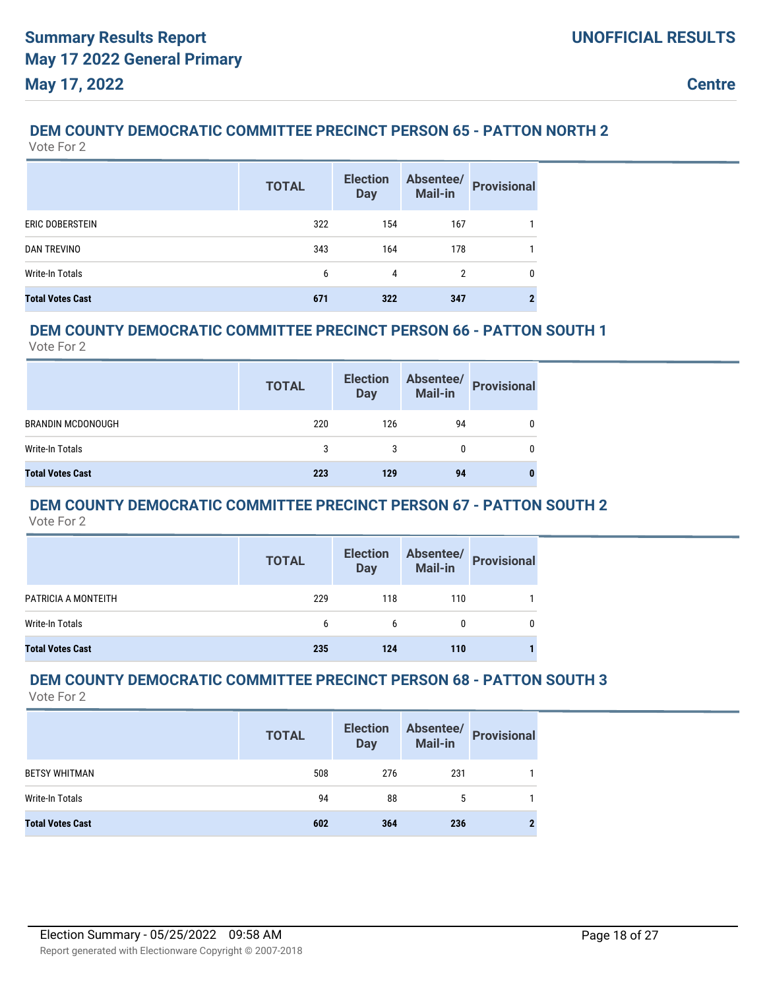## **DEM COUNTY DEMOCRATIC COMMITTEE PRECINCT PERSON 65 - PATTON NORTH 2**

Vote For 2

|                         | <b>TOTAL</b> | <b>Election</b><br><b>Day</b> | Absentee/<br>Mail-in | <b>Provisional</b> |
|-------------------------|--------------|-------------------------------|----------------------|--------------------|
| ERIC DOBERSTEIN         | 322          | 154                           | 167                  |                    |
| <b>DAN TREVINO</b>      | 343          | 164                           | 178                  |                    |
| Write-In Totals         | 6            | 4                             | 2                    | 0                  |
| <b>Total Votes Cast</b> | 671          | 322                           | 347                  |                    |

### **DEM COUNTY DEMOCRATIC COMMITTEE PRECINCT PERSON 66 - PATTON SOUTH 1**

Vote For 2

|                          | <b>TOTAL</b> | <b>Election</b><br><b>Day</b> | Absentee/<br>Mail-in | <b>Provisional</b> |
|--------------------------|--------------|-------------------------------|----------------------|--------------------|
| <b>BRANDIN MCDONOUGH</b> | 220          | 126                           | 94                   |                    |
| Write-In Totals          | 3            | 3                             |                      | 0                  |
| <b>Total Votes Cast</b>  | 223          | 129                           | 94                   |                    |

## **DEM COUNTY DEMOCRATIC COMMITTEE PRECINCT PERSON 67 - PATTON SOUTH 2**

Vote For 2

|                         | <b>TOTAL</b> | Election<br>Day |     | Absentee/<br>Mail-in Provisional |
|-------------------------|--------------|-----------------|-----|----------------------------------|
| PATRICIA A MONTEITH     | 229          | 118             | 110 |                                  |
| Write-In Totals         | 6            | 6               | 0   | 0                                |
| <b>Total Votes Cast</b> | 235          | 124             | 110 |                                  |

#### **DEM COUNTY DEMOCRATIC COMMITTEE PRECINCT PERSON 68 - PATTON SOUTH 3** Vote For 2

|                         | <b>TOTAL</b> | <b>Election</b><br><b>Day</b> | Absentee/<br>Mail-in | <b>Provisional</b> |
|-------------------------|--------------|-------------------------------|----------------------|--------------------|
| <b>BETSY WHITMAN</b>    | 508          | 276                           | 231                  |                    |
| Write-In Totals         | 94           | 88                            | 5                    |                    |
| <b>Total Votes Cast</b> | 602          | 364                           | 236                  |                    |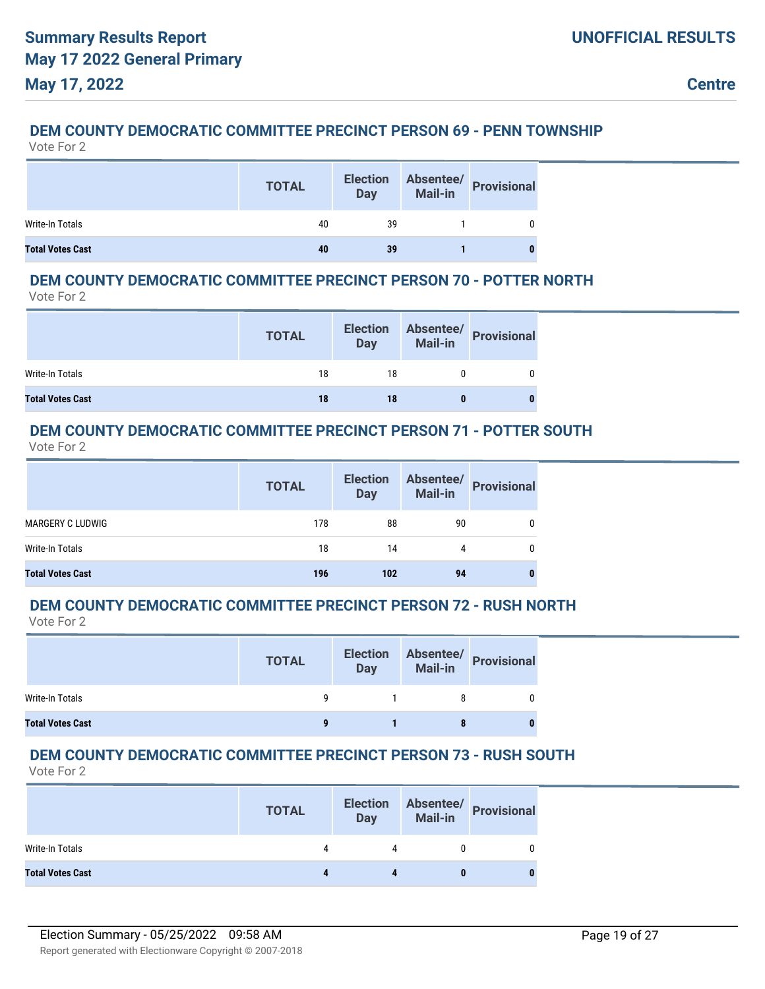## **DEM COUNTY DEMOCRATIC COMMITTEE PRECINCT PERSON 69 - PENN TOWNSHIP**

Vote For 2

|                         | <b>TOTAL</b> | <b>Election</b><br><b>Day</b> | Absentee/<br>Mail-in<br>Provisional |
|-------------------------|--------------|-------------------------------|-------------------------------------|
| Write-In Totals         | 40           | 39                            |                                     |
| <b>Total Votes Cast</b> | 40           | 39                            |                                     |

## **DEM COUNTY DEMOCRATIC COMMITTEE PRECINCT PERSON 70 - POTTER NORTH**

Vote For 2

|                         | <b>TOTAL</b> | <b>Election</b><br><b>Day</b> | <b>Mail-in</b> | Absentee/ Provisional |
|-------------------------|--------------|-------------------------------|----------------|-----------------------|
| Write-In Totals         | 18           | 18                            |                |                       |
| <b>Total Votes Cast</b> | 18           | 18                            |                |                       |

### **DEM COUNTY DEMOCRATIC COMMITTEE PRECINCT PERSON 71 - POTTER SOUTH**

Vote For 2

|                         | <b>TOTAL</b> | <b>Election</b><br><b>Day</b> |    | Absentee/<br>Mail-in Provisional |
|-------------------------|--------------|-------------------------------|----|----------------------------------|
| <b>MARGERY C LUDWIG</b> | 178          | 88                            | 90 |                                  |
| Write-In Totals         | 18           | 14                            | 4  |                                  |
| <b>Total Votes Cast</b> | 196          | 102                           | 94 | $\bf{0}$                         |

#### **DEM COUNTY DEMOCRATIC COMMITTEE PRECINCT PERSON 72 - RUSH NORTH** Vote For 2

|                         | <b>TOTAL</b> | <b>Election</b><br><b>Day</b> | Absentee/<br>Mail-in<br>Provisional |
|-------------------------|--------------|-------------------------------|-------------------------------------|
| Write-In Totals         |              |                               |                                     |
| <b>Total Votes Cast</b> |              |                               | 0                                   |

## **DEM COUNTY DEMOCRATIC COMMITTEE PRECINCT PERSON 73 - RUSH SOUTH**

|                         | <b>TOTAL</b> | <b>Election</b><br>Day | Absentee/<br>Mail-in Provisional |
|-------------------------|--------------|------------------------|----------------------------------|
| Write-In Totals         | 4            |                        |                                  |
| <b>Total Votes Cast</b> |              |                        |                                  |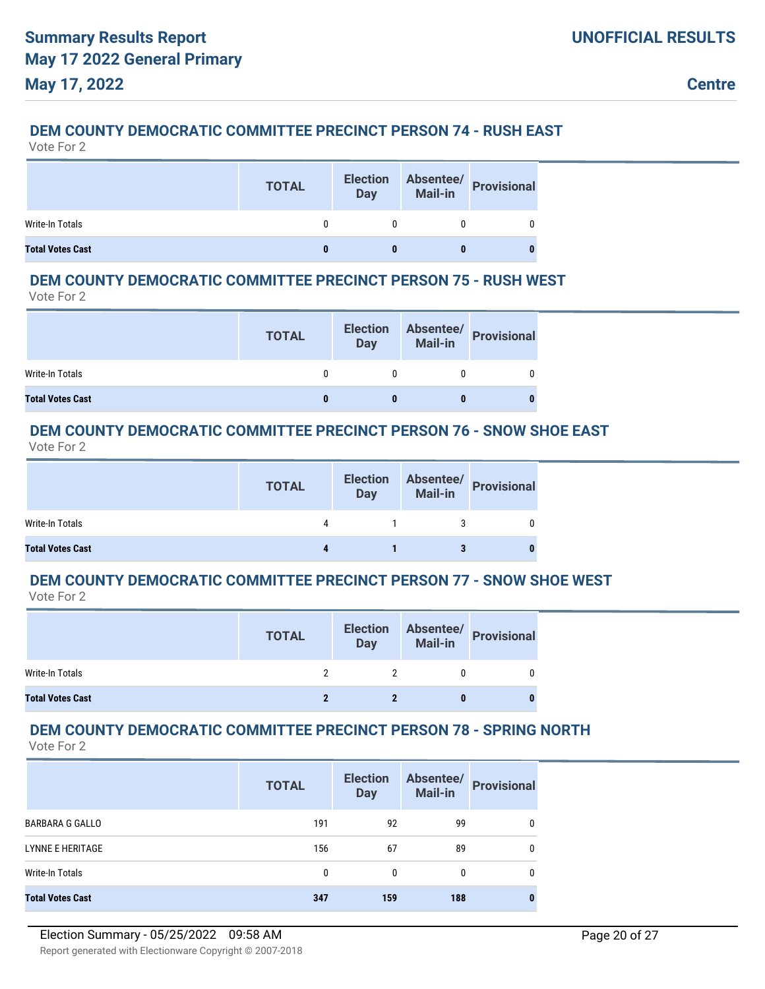## **DEM COUNTY DEMOCRATIC COMMITTEE PRECINCT PERSON 74 - RUSH EAST**

Vote For 2

|                         | <b>TOTAL</b> | <b>Election</b><br><b>Day</b> | Absentee/<br>Mail-in Provisional |
|-------------------------|--------------|-------------------------------|----------------------------------|
| Write-In Totals         |              |                               |                                  |
| <b>Total Votes Cast</b> |              |                               |                                  |

### **DEM COUNTY DEMOCRATIC COMMITTEE PRECINCT PERSON 75 - RUSH WEST**

Vote For 2

|                         | <b>TOTAL</b> | <b>Election</b><br><b>Day</b> | Absentee/<br>Mail-in Provisional |
|-------------------------|--------------|-------------------------------|----------------------------------|
| Write-In Totals         |              |                               |                                  |
| <b>Total Votes Cast</b> |              |                               |                                  |

### **DEM COUNTY DEMOCRATIC COMMITTEE PRECINCT PERSON 76 - SNOW SHOE EAST**

Vote For 2

|                         | <b>TOTAL</b> | <b>Election</b><br><b>Day</b> | Absentee/<br>Mail-in Provisional |
|-------------------------|--------------|-------------------------------|----------------------------------|
| Write-In Totals         | 4            |                               |                                  |
| <b>Total Votes Cast</b> |              |                               |                                  |

## **DEM COUNTY DEMOCRATIC COMMITTEE PRECINCT PERSON 77 - SNOW SHOE WEST**

Vote For 2

|                         | <b>TOTAL</b> | <b>Election</b><br><b>Day</b> | Absentee/<br>Mail-in Provisional |
|-------------------------|--------------|-------------------------------|----------------------------------|
| Write-In Totals         |              |                               |                                  |
| <b>Total Votes Cast</b> |              |                               |                                  |

## **DEM COUNTY DEMOCRATIC COMMITTEE PRECINCT PERSON 78 - SPRING NORTH**

|                         | <b>TOTAL</b> | <b>Election</b><br><b>Day</b> | Absentee/<br><b>Mail-in</b> | <b>Provisional</b> |
|-------------------------|--------------|-------------------------------|-----------------------------|--------------------|
| <b>BARBARA G GALLO</b>  | 191          | 92                            | 99                          |                    |
| <b>LYNNE E HERITAGE</b> | 156          | 67                            | 89                          |                    |
| Write-In Totals         | 0            | 0                             | 0                           |                    |
| <b>Total Votes Cast</b> | 347          | 159                           | 188                         | 0                  |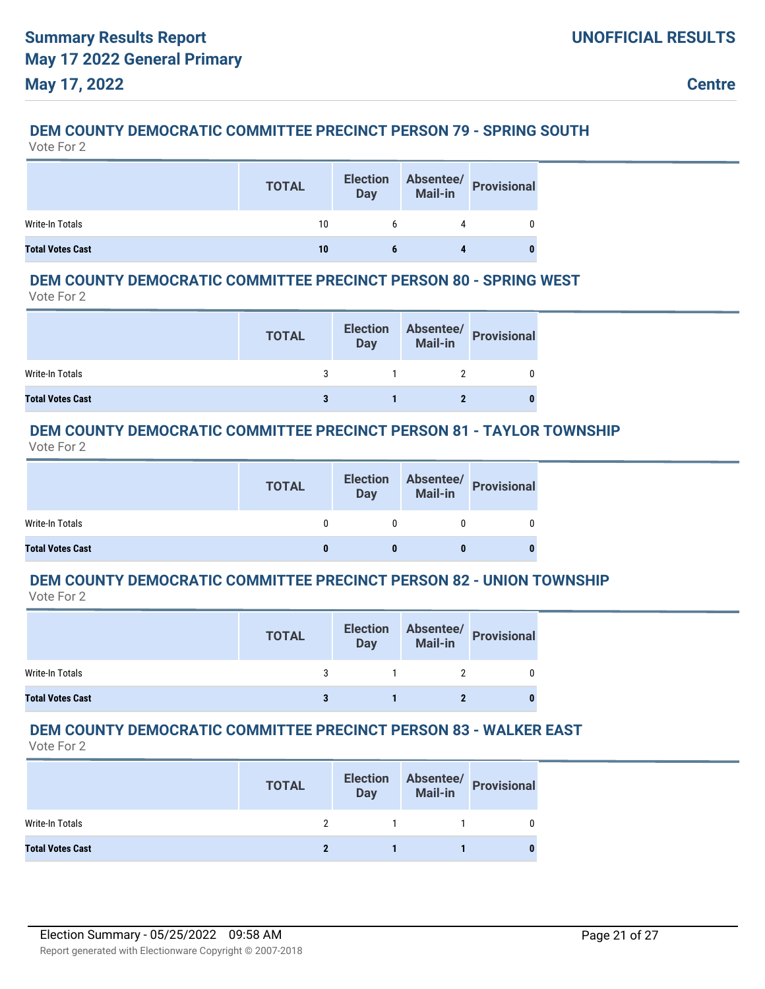## **DEM COUNTY DEMOCRATIC COMMITTEE PRECINCT PERSON 79 - SPRING SOUTH**

Vote For 2

|                         | <b>TOTAL</b> | <b>Election</b><br><b>Day</b> | Absentee/<br>Mail-in Provisional |
|-------------------------|--------------|-------------------------------|----------------------------------|
| Write-In Totals         | 10           |                               |                                  |
| <b>Total Votes Cast</b> | 10           |                               |                                  |

### **DEM COUNTY DEMOCRATIC COMMITTEE PRECINCT PERSON 80 - SPRING WEST**

Vote For 2

|                         | <b>TOTAL</b> | <b>Election</b><br><b>Day</b> | Absentee/<br>Mail-in Provisional |
|-------------------------|--------------|-------------------------------|----------------------------------|
| Write-In Totals         |              |                               |                                  |
| <b>Total Votes Cast</b> |              |                               |                                  |

### **DEM COUNTY DEMOCRATIC COMMITTEE PRECINCT PERSON 81 - TAYLOR TOWNSHIP**

Vote For 2

|                         | <b>TOTAL</b> | <b>Election</b><br><b>Day</b> | Absentee/<br>Mail-in<br>Provisional |
|-------------------------|--------------|-------------------------------|-------------------------------------|
| Write-In Totals         |              |                               |                                     |
| <b>Total Votes Cast</b> |              |                               |                                     |

## **DEM COUNTY DEMOCRATIC COMMITTEE PRECINCT PERSON 82 - UNION TOWNSHIP**

Vote For 2

|                         | <b>TOTAL</b> | <b>Election</b><br><b>Day</b> | Absentee/<br>Mail-in Provisional |
|-------------------------|--------------|-------------------------------|----------------------------------|
| Write-In Totals         |              |                               |                                  |
| <b>Total Votes Cast</b> |              |                               |                                  |

## **DEM COUNTY DEMOCRATIC COMMITTEE PRECINCT PERSON 83 - WALKER EAST**

|                         | <b>TOTAL</b> | <b>Election</b><br><b>Day</b> | Absentee/<br>Mail-in Provisional |
|-------------------------|--------------|-------------------------------|----------------------------------|
| Write-In Totals         |              |                               |                                  |
| <b>Total Votes Cast</b> |              |                               |                                  |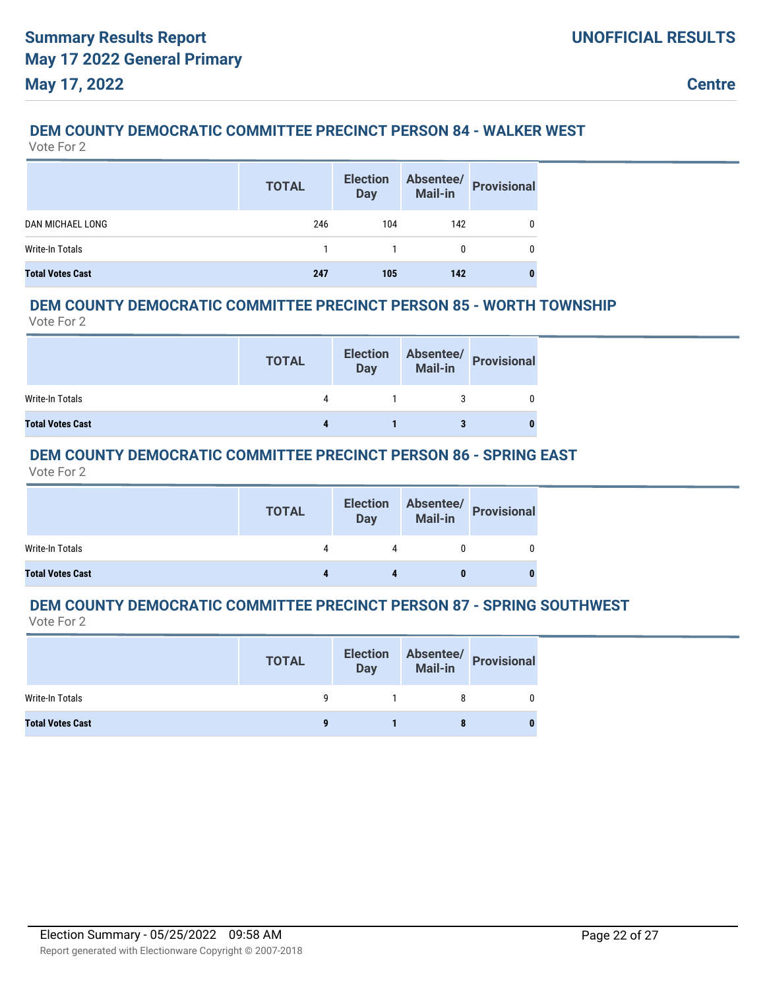## **DEM COUNTY DEMOCRATIC COMMITTEE PRECINCT PERSON 84 - WALKER WEST**

Vote For 2

|                         | <b>TOTAL</b> | <b>Election</b><br><b>Day</b> | Absentee/<br><b>Mail-in</b> | <b>Provisional</b> |
|-------------------------|--------------|-------------------------------|-----------------------------|--------------------|
| <b>DAN MICHAEL LONG</b> | 246          | 104                           | 142                         |                    |
| Write-In Totals         |              |                               | 0                           |                    |
| <b>Total Votes Cast</b> | 247          | 105                           | 142                         |                    |

### **DEM COUNTY DEMOCRATIC COMMITTEE PRECINCT PERSON 85 - WORTH TOWNSHIP**

Vote For 2

|                         | <b>TOTAL</b> | <b>Election</b><br><b>Day</b> | Absentee/<br>Mail-in Provisional |
|-------------------------|--------------|-------------------------------|----------------------------------|
| Write-In Totals         | 4            |                               |                                  |
| <b>Total Votes Cast</b> |              |                               |                                  |

## **DEM COUNTY DEMOCRATIC COMMITTEE PRECINCT PERSON 86 - SPRING EAST**

Vote For 2

|                         | <b>TOTAL</b> | <b>Election</b><br><b>Day</b> | Absentee/<br>Mail-in Provisional |
|-------------------------|--------------|-------------------------------|----------------------------------|
| Write-In Totals         |              |                               |                                  |
| <b>Total Votes Cast</b> |              |                               |                                  |

#### **DEM COUNTY DEMOCRATIC COMMITTEE PRECINCT PERSON 87 - SPRING SOUTHWEST** Vote For 2

|                         | <b>TOTAL</b> | <b>Election</b><br><b>Day</b> | Absentee/<br>Mail-in<br>Provisional |
|-------------------------|--------------|-------------------------------|-------------------------------------|
| Write-In Totals         |              |                               |                                     |
| <b>Total Votes Cast</b> |              |                               |                                     |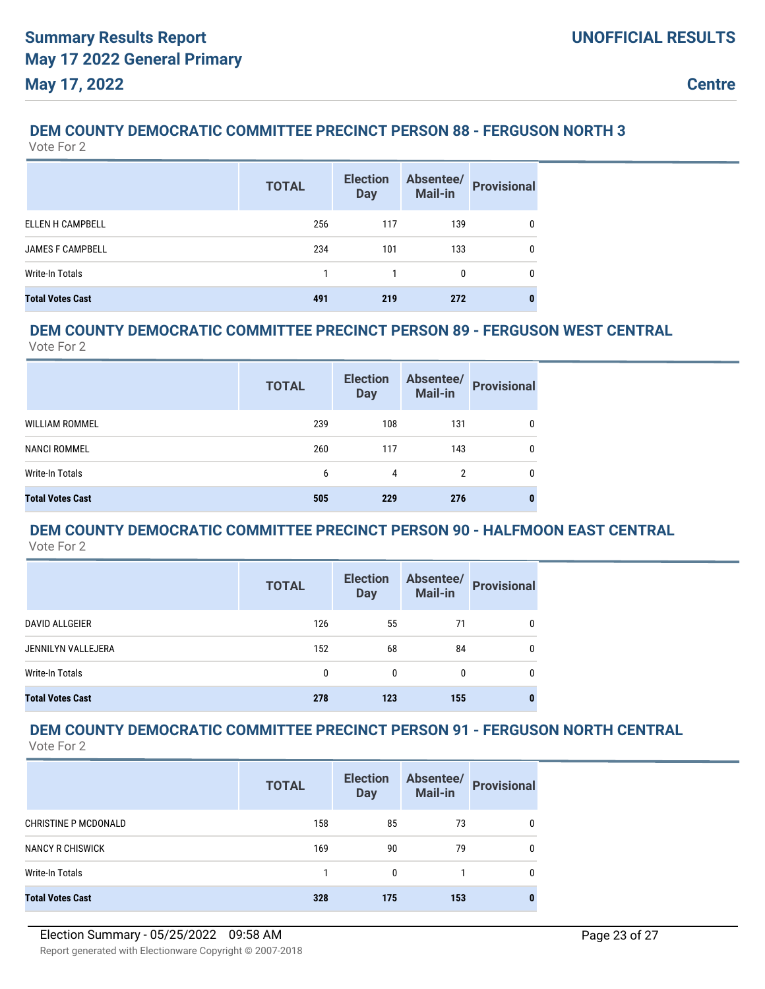## **DEM COUNTY DEMOCRATIC COMMITTEE PRECINCT PERSON 88 - FERGUSON NORTH 3**

Vote For 2

|                         | <b>TOTAL</b> | <b>Election</b><br><b>Day</b> | Absentee/<br><b>Mail-in</b> | <b>Provisional</b> |
|-------------------------|--------------|-------------------------------|-----------------------------|--------------------|
| ELLEN H CAMPBELL        | 256          | 117                           | 139                         | 0                  |
| <b>JAMES F CAMPBELL</b> | 234          | 101                           | 133                         | 0                  |
| Write-In Totals         |              |                               |                             | 0                  |
| <b>Total Votes Cast</b> | 491          | 219                           | 272                         |                    |

## **DEM COUNTY DEMOCRATIC COMMITTEE PRECINCT PERSON 89 - FERGUSON WEST CENTRAL**

Vote For 2

|                         | <b>TOTAL</b> | <b>Election</b><br><b>Day</b> | Absentee/<br><b>Mail-in</b> | <b>Provisional</b> |
|-------------------------|--------------|-------------------------------|-----------------------------|--------------------|
| <b>WILLIAM ROMMEL</b>   | 239          | 108                           | 131                         | 0                  |
| NANCI ROMMEL            | 260          | 117                           | 143                         | 0                  |
| Write-In Totals         | 6            | 4                             | 2                           | 0                  |
| <b>Total Votes Cast</b> | 505          | 229                           | 276                         |                    |

#### **DEM COUNTY DEMOCRATIC COMMITTEE PRECINCT PERSON 90 - HALFMOON EAST CENTRAL** Vote For 2

|                         | <b>TOTAL</b> | <b>Election</b><br><b>Day</b> | Absentee/<br><b>Mail-in</b> | <b>Provisional</b> |
|-------------------------|--------------|-------------------------------|-----------------------------|--------------------|
| <b>DAVID ALLGEIER</b>   | 126          | 55                            | 71                          | 0                  |
| JENNILYN VALLEJERA      | 152          | 68                            | 84                          | 0                  |
| <b>Write-In Totals</b>  | 0            | $\mathbf{0}$                  | $\mathbf{0}$                | 0                  |
| <b>Total Votes Cast</b> | 278          | 123                           | 155                         | 0                  |

# **DEM COUNTY DEMOCRATIC COMMITTEE PRECINCT PERSON 91 - FERGUSON NORTH CENTRAL**

| Vote For |  |  |
|----------|--|--|
|----------|--|--|

|                             | <b>TOTAL</b> | <b>Election</b><br><b>Day</b> | Absentee/<br>Mail-in | <b>Provisional</b> |
|-----------------------------|--------------|-------------------------------|----------------------|--------------------|
| <b>CHRISTINE P MCDONALD</b> | 158          | 85                            | 73                   | 0                  |
| <b>NANCY R CHISWICK</b>     | 169          | 90                            | 79                   | 0                  |
| Write-In Totals             |              | 0                             |                      | 0                  |
| <b>Total Votes Cast</b>     | 328          | 175                           | 153                  |                    |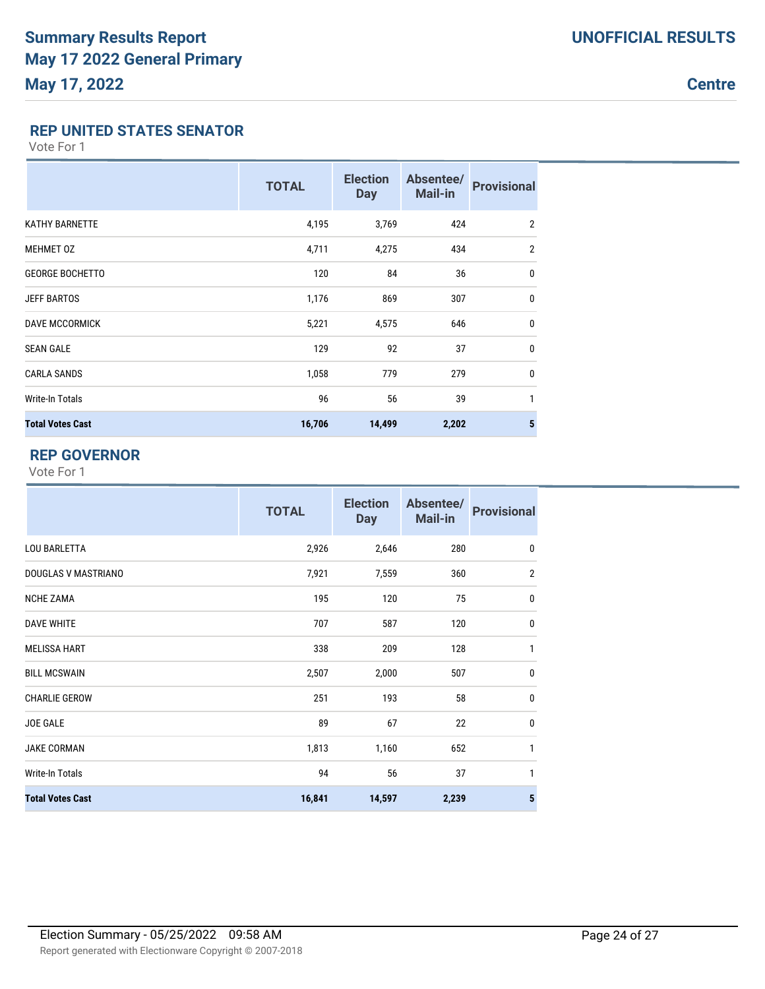**Centre**

### **REP UNITED STATES SENATOR**

Vote For 1

|                         | <b>TOTAL</b> | <b>Election</b><br><b>Day</b> | Absentee/<br>Mail-in | <b>Provisional</b> |
|-------------------------|--------------|-------------------------------|----------------------|--------------------|
| <b>KATHY BARNETTE</b>   | 4,195        | 3,769                         | 424                  | $\overline{2}$     |
| <b>MEHMET OZ</b>        | 4,711        | 4,275                         | 434                  | $\overline{2}$     |
| <b>GEORGE BOCHETTO</b>  | 120          | 84                            | 36                   | 0                  |
| <b>JEFF BARTOS</b>      | 1,176        | 869                           | 307                  | $\mathbf{0}$       |
| <b>DAVE MCCORMICK</b>   | 5,221        | 4,575                         | 646                  | 0                  |
| <b>SEAN GALE</b>        | 129          | 92                            | 37                   | $\bf{0}$           |
| <b>CARLA SANDS</b>      | 1,058        | 779                           | 279                  | 0                  |
| Write-In Totals         | 96           | 56                            | 39                   | 1                  |
| <b>Total Votes Cast</b> | 16,706       | 14,499                        | 2,202                | $5\phantom{a}$     |

## **REP GOVERNOR**

|                         | <b>TOTAL</b> | <b>Election</b><br><b>Day</b> | Absentee/<br><b>Mail-in</b> | <b>Provisional</b> |
|-------------------------|--------------|-------------------------------|-----------------------------|--------------------|
| <b>LOU BARLETTA</b>     | 2,926        | 2,646                         | 280                         | 0                  |
| DOUGLAS V MASTRIANO     | 7,921        | 7,559                         | 360                         | $\overline{2}$     |
| <b>NCHE ZAMA</b>        | 195          | 120                           | 75                          | $\pmb{0}$          |
| <b>DAVE WHITE</b>       | 707          | 587                           | 120                         | $\mathbf 0$        |
| <b>MELISSA HART</b>     | 338          | 209                           | 128                         | 1                  |
| <b>BILL MCSWAIN</b>     | 2,507        | 2,000                         | 507                         | $\mathbf 0$        |
| <b>CHARLIE GEROW</b>    | 251          | 193                           | 58                          | $\mathbf 0$        |
| <b>JOE GALE</b>         | 89           | 67                            | 22                          | $\mathbf 0$        |
| <b>JAKE CORMAN</b>      | 1,813        | 1,160                         | 652                         | 1                  |
| <b>Write-In Totals</b>  | 94           | 56                            | 37                          | 1                  |
| <b>Total Votes Cast</b> | 16,841       | 14,597                        | 2,239                       | 5                  |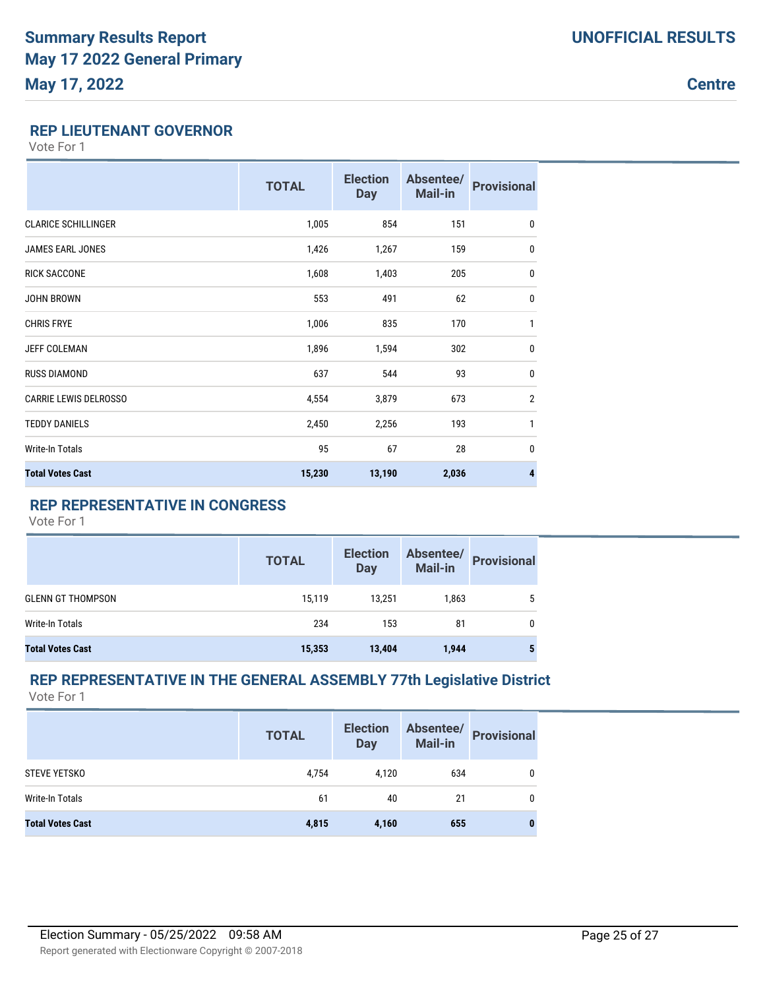**Centre**

## **REP LIEUTENANT GOVERNOR**

Vote For 1

|                              | <b>TOTAL</b> | <b>Election</b><br><b>Day</b> | Absentee/<br><b>Mail-in</b> | <b>Provisional</b> |
|------------------------------|--------------|-------------------------------|-----------------------------|--------------------|
| <b>CLARICE SCHILLINGER</b>   | 1,005        | 854                           | 151                         | $\mathbf{0}$       |
| <b>JAMES EARL JONES</b>      | 1,426        | 1,267                         | 159                         | $\bf{0}$           |
| <b>RICK SACCONE</b>          | 1,608        | 1,403                         | 205                         | $\bf{0}$           |
| <b>JOHN BROWN</b>            | 553          | 491                           | 62                          | $\bf{0}$           |
| <b>CHRIS FRYE</b>            | 1,006        | 835                           | 170                         | 1                  |
| JEFF COLEMAN                 | 1,896        | 1,594                         | 302                         | $\bf{0}$           |
| <b>RUSS DIAMOND</b>          | 637          | 544                           | 93                          | $\bf{0}$           |
| <b>CARRIE LEWIS DELROSSO</b> | 4,554        | 3,879                         | 673                         | $\overline{2}$     |
| <b>TEDDY DANIELS</b>         | 2,450        | 2,256                         | 193                         | $\mathbf{1}$       |
| <b>Write-In Totals</b>       | 95           | 67                            | 28                          | $\mathbf 0$        |
| <b>Total Votes Cast</b>      | 15,230       | 13,190                        | 2,036                       | 4                  |

## **REP REPRESENTATIVE IN CONGRESS**

Vote For 1

|                          | <b>TOTAL</b> | <b>Election</b><br><b>Day</b> | Absentee/<br><b>Mail-in</b> | <b>Provisional</b> |
|--------------------------|--------------|-------------------------------|-----------------------------|--------------------|
| <b>GLENN GT THOMPSON</b> | 15.119       | 13.251                        | 1.863                       | 5                  |
| Write-In Totals          | 234          | 153                           | 81                          | 0                  |
| <b>Total Votes Cast</b>  | 15,353       | 13,404                        | 1,944                       |                    |

#### **REP REPRESENTATIVE IN THE GENERAL ASSEMBLY 77th Legislative District** Vote For 1

|                         | <b>TOTAL</b> | <b>Election</b><br><b>Day</b> | Absentee/<br>Mail-in | <b>Provisional</b> |
|-------------------------|--------------|-------------------------------|----------------------|--------------------|
| <b>STEVE YETSKO</b>     | 4,754        | 4,120                         | 634                  | 0                  |
| Write-In Totals         | 61           | 40                            | 21                   | $\mathbf{0}$       |
| <b>Total Votes Cast</b> | 4,815        | 4,160                         | 655                  | $\bf{0}$           |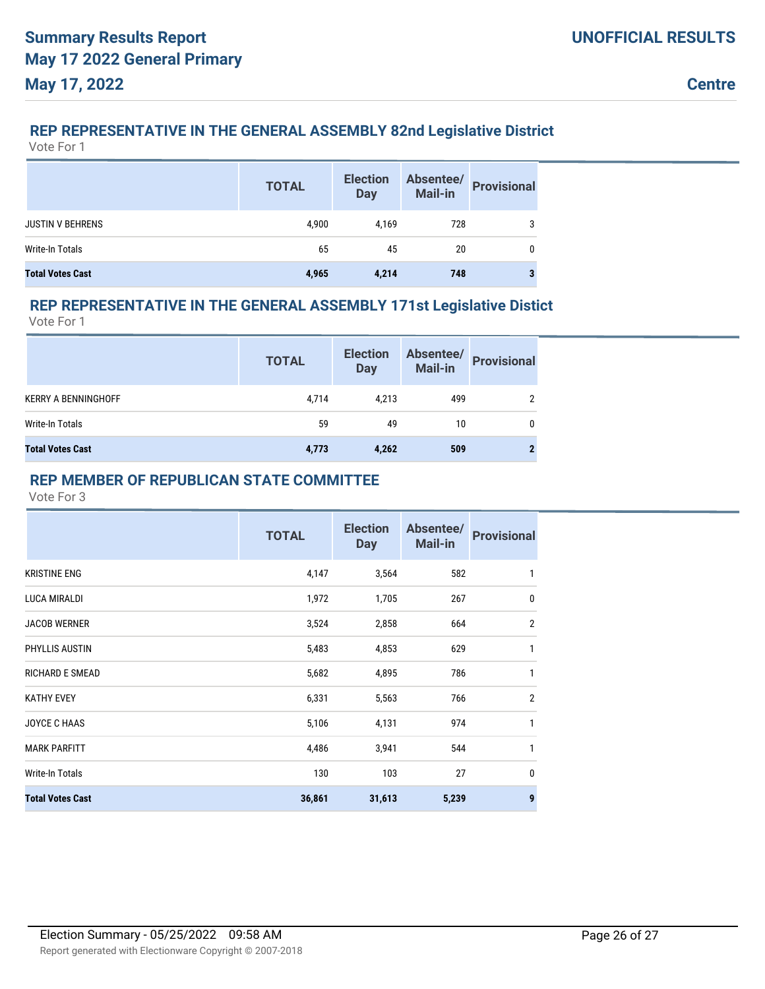## **REP REPRESENTATIVE IN THE GENERAL ASSEMBLY 82nd Legislative District**

Vote For 1

|                         | <b>TOTAL</b> | <b>Election</b><br>Day | Absentee/<br><b>Mail-in</b> | <b>Provisional</b> |
|-------------------------|--------------|------------------------|-----------------------------|--------------------|
| <b>JUSTIN V BEHRENS</b> | 4,900        | 4,169                  | 728                         |                    |
| Write-In Totals         | 65           | 45                     | 20                          |                    |
| <b>Total Votes Cast</b> | 4,965        | 4,214                  | 748                         |                    |

## **REP REPRESENTATIVE IN THE GENERAL ASSEMBLY 171st Legislative Distict**

Vote For 1

|                            | <b>TOTAL</b> | <b>Election</b><br><b>Day</b> | Absentee/<br>Mail-in | <b>Provisional</b> |
|----------------------------|--------------|-------------------------------|----------------------|--------------------|
| <b>KERRY A BENNINGHOFF</b> | 4,714        | 4,213                         | 499                  |                    |
| Write-In Totals            | 59           | 49                            | 10                   | 0                  |
| <b>Total Votes Cast</b>    | 4,773        | 4,262                         | 509                  |                    |

### **REP MEMBER OF REPUBLICAN STATE COMMITTEE**

|                         | <b>TOTAL</b> | <b>Election</b><br><b>Day</b> | Absentee/<br><b>Mail-in</b> | <b>Provisional</b> |
|-------------------------|--------------|-------------------------------|-----------------------------|--------------------|
| <b>KRISTINE ENG</b>     | 4,147        | 3,564                         | 582                         | 1                  |
| LUCA MIRALDI            | 1,972        | 1,705                         | 267                         | $\mathbf 0$        |
| <b>JACOB WERNER</b>     | 3,524        | 2,858                         | 664                         | $\overline{2}$     |
| PHYLLIS AUSTIN          | 5,483        | 4,853                         | 629                         | 1                  |
| <b>RICHARD E SMEAD</b>  | 5,682        | 4,895                         | 786                         | 1                  |
| <b>KATHY EVEY</b>       | 6,331        | 5,563                         | 766                         | $\overline{2}$     |
| <b>JOYCE C HAAS</b>     | 5,106        | 4,131                         | 974                         | 1                  |
| <b>MARK PARFITT</b>     | 4,486        | 3,941                         | 544                         | 1                  |
| Write-In Totals         | 130          | 103                           | 27                          | $\mathbf 0$        |
| <b>Total Votes Cast</b> | 36,861       | 31,613                        | 5,239                       | 9                  |